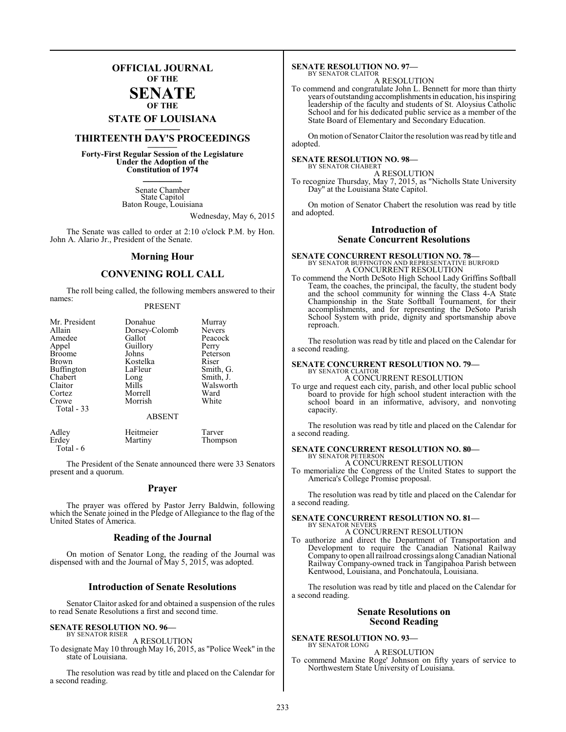## **OFFICIAL JOURNAL OF THE**

#### **SENATE OF THE**

# **STATE OF LOUISIANA \_\_\_\_\_\_\_**

## **THIRTEENTH DAY'S PROCEEDINGS \_\_\_\_\_\_\_**

**Forty-First Regular Session of the Legislature Under the Adoption of the Constitution of 1974 \_\_\_\_\_\_\_**

> Senate Chamber State Capitol Baton Rouge, Louisiana

> > Wednesday, May 6, 2015

The Senate was called to order at 2:10 o'clock P.M. by Hon. John A. Alario Jr., President of the Senate.

#### **Morning Hour**

### **CONVENING ROLL CALL**

The roll being called, the following members answered to their names:

#### PRESENT

| Mr. President<br>Allain<br>Amedee<br>Appel<br><b>Broome</b><br>Brown<br>Buffington<br>Chabert<br>Claitor<br>Cortez<br>Crowe<br>Total - 33 | Donahue<br>Dorsey-Colomb<br>Gallot<br>Guillory<br>Johns<br>Kostelka<br>LaFleur<br>Long<br>Mills<br>Morrell<br>Morrish | Murray<br>Nevers<br>Peacock<br>Perry<br>Peterson<br>Riser<br>Smith, G.<br>Smith, J.<br>Walsworth<br>Ward<br>White |
|-------------------------------------------------------------------------------------------------------------------------------------------|-----------------------------------------------------------------------------------------------------------------------|-------------------------------------------------------------------------------------------------------------------|
|                                                                                                                                           | <b>ABSENT</b>                                                                                                         |                                                                                                                   |

| Adley     | Heitmeier | Tarver   |
|-----------|-----------|----------|
| Erdey     | Martiny   | Thompson |
| Total - 6 |           |          |

The President of the Senate announced there were 33 Senators present and a quorum.

#### **Prayer**

The prayer was offered by Pastor Jerry Baldwin, following which the Senate joined in the Pledge of Allegiance to the flag of the United States of America.

#### **Reading of the Journal**

On motion of Senator Long, the reading of the Journal was dispensed with and the Journal of May 5, 2015, was adopted.

#### **Introduction of Senate Resolutions**

Senator Claitor asked for and obtained a suspension of the rules to read Senate Resolutions a first and second time.

#### **SENATE RESOLUTION NO. 96—** BY SENATOR RISER

#### A RESOLUTION

To designate May 10 through May 16, 2015, as "Police Week" in the state of Louisiana.

The resolution was read by title and placed on the Calendar for a second reading.

#### **SENATE RESOLUTION NO. 97—** BY SENATOR CLAITOR

A RESOLUTION

To commend and congratulate John L. Bennett for more than thirty years of outstanding accomplishments in education, his inspiring leadership of the faculty and students of St. Aloysius Catholic School and for his dedicated public service as a member of the State Board of Elementary and Secondary Education.

On motion of Senator Claitor the resolution was read by title and adopted.

## **SENATE RESOLUTION NO. 98—** BY SENATOR CHABERT

A RESOLUTION

To recognize Thursday, May 7, 2015, as "Nicholls State University Day" at the Louisiana State Capitol.

On motion of Senator Chabert the resolution was read by title and adopted.

### **Introduction of Senate Concurrent Resolutions**

## **SENATE CONCURRENT RESOLUTION NO. 78—** BY SENATOR BUFFINGTON AND REPRESENTATIVE BURFORD A CONCURRENT RESOLUTION

To commend the North DeSoto High School Lady Griffins Softball Team, the coaches, the principal, the faculty, the student body and the school community for winning the Class 4-A State Championship in the State Softball Tournament, for their accomplishments, and for representing the DeSoto Parish School System with pride, dignity and sportsmanship above reproach.

The resolution was read by title and placed on the Calendar for a second reading.

## **SENATE CONCURRENT RESOLUTION NO. 79—** BY SENATOR CLAITOR

A CONCURRENT RESOLUTION

To urge and request each city, parish, and other local public school board to provide for high school student interaction with the school board in an informative, advisory, and nonvoting capacity.

The resolution was read by title and placed on the Calendar for a second reading.

#### **SENATE CONCURRENT RESOLUTION NO. 80—** BY SENATOR PETERSON

A CONCURRENT RESOLUTION

To memorialize the Congress of the United States to support the America's College Promise proposal.

The resolution was read by title and placed on the Calendar for a second reading.

#### **SENATE CONCURRENT RESOLUTION NO. 81—** BY SENATOR NEVERS

A CONCURRENT RESOLUTION

To authorize and direct the Department of Transportation and Development to require the Canadian National Railway Company to open all railroad crossings alongCanadian National Railway Company-owned track in Tangipahoa Parish between Kentwood, Louisiana, and Ponchatoula, Louisiana.

The resolution was read by title and placed on the Calendar for a second reading.

#### **Senate Resolutions on Second Reading**

**SENATE RESOLUTION NO. 93—** BY SENATOR LONG

#### A RESOLUTION

To commend Maxine Roge' Johnson on fifty years of service to Northwestern State University of Louisiana.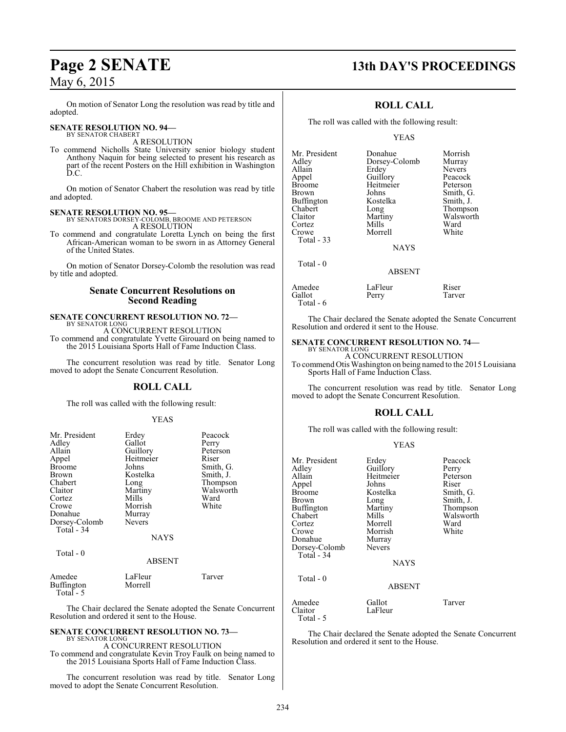#### On motion of Senator Long the resolution was read by title and adopted.

#### **SENATE RESOLUTION NO. 94—** BY SENATOR CHABERT

A RESOLUTION

To commend Nicholls State University senior biology student Anthony Naquin for being selected to present his research as part of the recent Posters on the Hill exhibition in Washington D.C.

On motion of Senator Chabert the resolution was read by title and adopted.

**SENATE RESOLUTION NO. 95—** BY SENATORS DORSEY-COLOMB, BROOME AND PETERSON A RESOLUTION

To commend and congratulate Loretta Lynch on being the first African-American woman to be sworn in as Attorney General of the United States.

On motion of Senator Dorsey-Colomb the resolution was read by title and adopted.

#### **Senate Concurrent Resolutions on Second Reading**

#### **SENATE CONCURRENT RESOLUTION NO. 72—** BY SENATOR LONG

A CONCURRENT RESOLUTION

To commend and congratulate Yvette Girouard on being named to the 2015 Louisiana Sports Hall of Fame Induction Class.

The concurrent resolution was read by title. Senator Long moved to adopt the Senate Concurrent Resolution.

#### **ROLL CALL**

The roll was called with the following result:

#### YEAS

| Mr. President<br>Adley<br>Allain<br>Appel<br><b>Broome</b><br><b>Brown</b><br>Chabert<br>Claitor<br>Cortez | Erdey<br>Gallot<br>Guillory<br>Heitmeier<br>Johns<br>Kostelka<br>Long<br>Martiny<br>Mills | Peacock<br>Perry<br>Peterson<br>Riser<br>Smith, G.<br>Smith, J.<br>Thompson<br>Walsworth<br>Ward |
|------------------------------------------------------------------------------------------------------------|-------------------------------------------------------------------------------------------|--------------------------------------------------------------------------------------------------|
| Crowe                                                                                                      | Morrish                                                                                   | White                                                                                            |
| Donahue                                                                                                    | Murray                                                                                    |                                                                                                  |
| Dorsey-Colomb<br>Total - 34                                                                                | <b>Nevers</b>                                                                             |                                                                                                  |
|                                                                                                            | <b>NAYS</b>                                                                               |                                                                                                  |
| Total $-0$                                                                                                 | <b>ABSENT</b>                                                                             |                                                                                                  |
|                                                                                                            |                                                                                           |                                                                                                  |
| Amedee<br>$\sim$<br>$\overline{\phantom{0}}$                                                               | LaFleur                                                                                   | Tarver                                                                                           |

Buffington Morrell Total - 5

The Chair declared the Senate adopted the Senate Concurrent Resolution and ordered it sent to the House.

#### **SENATE CONCURRENT RESOLUTION NO. 73—** BY SENATOR LONG

A CONCURRENT RESOLUTION To commend and congratulate Kevin Troy Faulk on being named to the 2015 Louisiana Sports Hall of Fame Induction Class.

The concurrent resolution was read by title. Senator Long moved to adopt the Senate Concurrent Resolution.

## **Page 2 SENATE 13th DAY'S PROCEEDINGS**

### **ROLL CALL**

The roll was called with the following result:

YEAS

| Mr. President     | Donahue       | Morrish       |
|-------------------|---------------|---------------|
| Adley             | Dorsey-Colomb | Murray        |
| Allain            | Erdey         | <b>Nevers</b> |
| Appel             | Guillory      | Peacock       |
| <b>Broome</b>     | Heitmeier     | Peterson      |
| <b>Brown</b>      | Johns         | Smith, G.     |
| <b>Buffington</b> | Kostelka      | Smith, J.     |
| Chabert           | Long          | Thompson      |
| Claitor           | Martiny       | Walsworth     |
| Cortez            | Mills         | Ward          |
| Crowe             | Morrell       | White         |
| Total $-33$       |               |               |
|                   | <b>NAYS</b>   |               |
| Total - 0         |               |               |
|                   | <b>ABSENT</b> |               |

| Amedee    | LaFleur | Riser  |
|-----------|---------|--------|
| Gallot    | Perry   | Tarver |
| Total - 6 |         |        |

The Chair declared the Senate adopted the Senate Concurrent Resolution and ordered it sent to the House.

#### **SENATE CONCURRENT RESOLUTION NO. 74—** BY SENATOR LONG

A CONCURRENT RESOLUTION To commend Otis Washington on being named to the 2015 Louisiana Sports Hall of Fame Induction Class.

The concurrent resolution was read by title. Senator Long moved to adopt the Senate Concurrent Resolution.

### **ROLL CALL**

The roll was called with the following result:

#### YEAS

| Mr. President<br>Adley<br>Allain<br>Appel<br><b>Broome</b><br>Brown<br><b>Buffington</b><br>Chabert<br>Cortez<br>Crowe<br>Donahue<br>Dorsey-Colomb<br>Total - 34<br>Total - 0 | Erdey<br>Guillory<br>Heitmeier<br>Johns<br>Kostelka<br>Long<br>Martiny<br>Mills<br>Morrell<br>Morrish<br>Murray<br><b>Nevers</b><br><b>NAYS</b> | Peacock<br>Perry<br>Peterson<br>Riser<br>Smith, G.<br>Smith, J.<br>Thompson<br>Walsworth<br>Ward<br>White |
|-------------------------------------------------------------------------------------------------------------------------------------------------------------------------------|-------------------------------------------------------------------------------------------------------------------------------------------------|-----------------------------------------------------------------------------------------------------------|
|                                                                                                                                                                               | ABSENT                                                                                                                                          |                                                                                                           |
| Amedee<br>Claitor<br>Total - 5                                                                                                                                                | Gallot<br>LaFleur                                                                                                                               | Tarver                                                                                                    |

The Chair declared the Senate adopted the Senate Concurrent Resolution and ordered it sent to the House.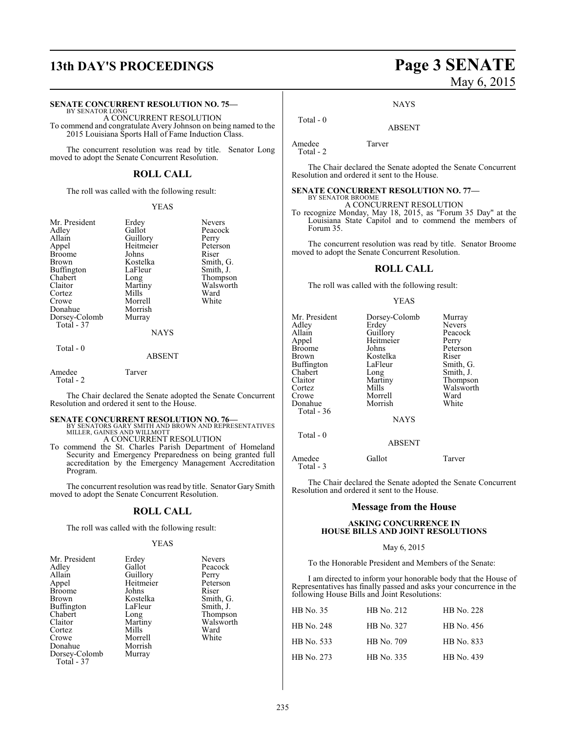#### **SENATE CONCURRENT RESOLUTION NO. 75—**

BY SENATOR LONG A CONCURRENT RESOLUTION To commend and congratulate Avery Johnson on being named to the 2015 Louisiana Sports Hall of Fame Induction Class.

The concurrent resolution was read by title. Senator Long moved to adopt the Senate Concurrent Resolution.

#### **ROLL CALL**

The roll was called with the following result:

#### YEAS

| Mr. President | Erdey       | <b>Nevers</b> |
|---------------|-------------|---------------|
| Adley         | Gallot      | Peacock       |
| Allain        | Guillory    | Perry         |
| Appel         | Heitmeier   | Peterson      |
| <b>Broome</b> | Johns       | Riser         |
| Brown         | Kostelka    | Smith, G.     |
| Buffington    | LaFleur     | Smith, J.     |
| Chabert       | Long        | Thompson      |
| Claitor       | Martiny     | Walsworth     |
| Cortez        | Mills       | Ward          |
| Crowe         | Morrell     | White         |
| Donahue       | Morrish     |               |
| Dorsey-Colomb | Murray      |               |
| Total - 37    |             |               |
|               | <b>NAYS</b> |               |
| Total - 0     |             |               |
|               | ABSENT      |               |

Amedee Tarver Total - 2

The Chair declared the Senate adopted the Senate Concurrent Resolution and ordered it sent to the House.

**SENATE CONCURRENT RESOLUTION NO. 76—**<br>BY SENATORS GARY SMITH AND BROWN AND REPRESENTATIVES<br>MILLER, GAINES AND WILLMOTT A CONCURRENT RESOLUTION

To commend the St. Charles Parish Department of Homeland Security and Emergency Preparedness on being granted full accreditation by the Emergency Management Accreditation Program.

The concurrent resolution was read by title. Senator Gary Smith moved to adopt the Senate Concurrent Resolution.

#### **ROLL CALL**

The roll was called with the following result:

#### YEAS

| Mr. President | Erdey     | <b>Nevers</b> |
|---------------|-----------|---------------|
| Adley         | Gallot    | Peacock       |
| Allain        | Guillory  | Perry         |
| Appel         | Heitmeier | Peterson      |
| <b>Broome</b> | Johns     | Riser         |
| Brown         | Kostelka  | Smith, G.     |
| Buffington    | LaFleur   | Smith, J.     |
| Chabert       | Long      | Thompson      |
| Claitor       | Martiny   | Walsworth     |
| Cortez        | Mills     | Ward          |
| Crowe         | Morrell   | White         |
| Donahue       | Morrish   |               |
| Dorsey-Colomb | Murray    |               |
| Total - 37    |           |               |

# **13th DAY'S PROCEEDINGS Page 3 SENATE** May 6, 2015

**NAYS** 

ABSENT

Total - 0

Amedee Tarver Total - 2

The Chair declared the Senate adopted the Senate Concurrent Resolution and ordered it sent to the House.

#### **SENATE CONCURRENT RESOLUTION NO. 77—** BY SENATOR BROOME

A CONCURRENT RESOLUTION

To recognize Monday, May 18, 2015, as "Forum 35 Day" at the Louisiana State Capitol and to commend the members of Forum 35.

The concurrent resolution was read by title. Senator Broome moved to adopt the Senate Concurrent Resolution.

#### **ROLL CALL**

The roll was called with the following result:

#### YEAS

| Mr. President<br>Adlev<br>Allain | Dorsey-Colomb<br>Erdey | Murray<br>Nevers<br>Peacock |
|----------------------------------|------------------------|-----------------------------|
|                                  | Guillory               |                             |
| Appel                            | Heitmeier              | Perry                       |
| <b>Broome</b>                    | Johns                  | Peterson                    |
| Brown                            | Kostelka               | Riser                       |
| Buffington                       | LaFleur                | Smith, G.                   |
| Chabert                          | Long                   | Smith, J.                   |
| Claitor                          | Martiny                | Thompson                    |
| Cortez                           | Mills                  | Walsworth                   |
| Crowe                            | Morrell                | Ward                        |
| Donahue                          | Morrish                | White                       |
| Total - 36                       |                        |                             |
|                                  | <b>NAYS</b>            |                             |
| Total - 0                        |                        |                             |
|                                  | <b>ABSENT</b>          |                             |

Amedee Gallot Tarver Total - 3

The Chair declared the Senate adopted the Senate Concurrent Resolution and ordered it sent to the House.

#### **Message from the House**

#### **ASKING CONCURRENCE IN HOUSE BILLS AND JOINT RESOLUTIONS**

#### May 6, 2015

To the Honorable President and Members of the Senate:

I am directed to inform your honorable body that the House of Representatives has finally passed and asks your concurrence in the following House Bills and Joint Resolutions:

| <b>HB</b> No. 35 | HB No. 212 | HB No. 228 |
|------------------|------------|------------|
| HB No. 248       | HB No. 327 | HB No. 456 |
| HB No. 533       | HB No. 709 | HB No. 833 |
| HB No. 273       | HB No. 335 | HB No. 439 |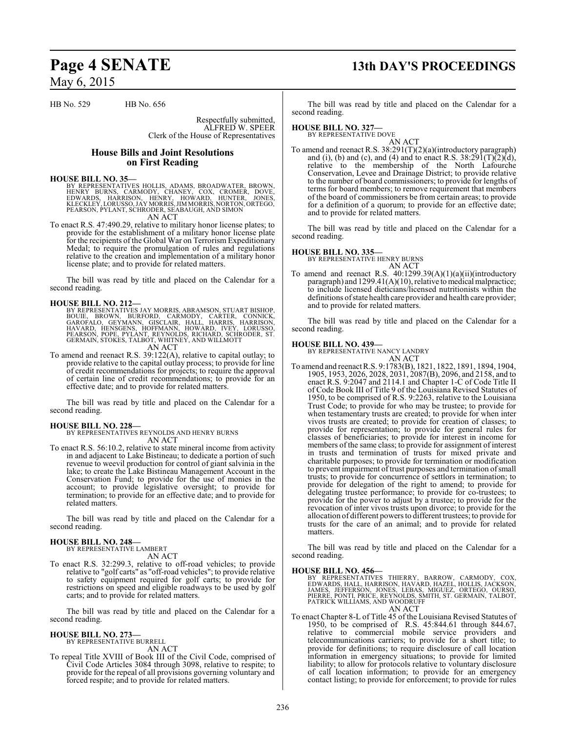## **Page 4 SENATE 13th DAY'S PROCEEDINGS**

May 6, 2015

HB No. 529 HB No. 656

Respectfully submitted, ALFRED W. SPEER

Clerk of the House of Representatives

#### **House Bills and Joint Resolutions on First Reading**

**HOUSE BILL NO. 35—**<br>BY REPRESENTATIVES HOLLIS, ADAMS, BROADWATER, BROWN,<br>HENRY BURNS, CARMODY, CHANEY, COX, CROMER, DOVE,<br>EDWARDS, HARRISON, HENRY, HOWARD, HUNTER, JONES,<br>KLECKLEY,LORUSSO,JAY MORRIS,JIM MORRIS,NORTON,ORTE PEARSON, PYLANT, SCHRODER, SEABAUGH, AND SIMON AN ACT

To enact R.S. 47:490.29, relative to military honor license plates; to provide for the establishment of a military honor license plate for the recipients of the Global War on Terrorism Expeditionary Medal; to require the promulgation of rules and regulations relative to the creation and implementation of a military honor license plate; and to provide for related matters.

The bill was read by title and placed on the Calendar for a second reading.

**HOUSE BILL NO. 212—** BY REPRESENTATIVES JAY MORRIS, ABRAMSON, STUART BISHOP, BOUIE, BROWN, BURFORD, CARMODY, CARTER, CONNICK,<br>GAROFALO, GEYMANN, GISCLAIR, HALL, HARRIS, HARRISON,<br>HAVARD, HENSGENS, HOFFMANN, HOWARD, IVEY, LORUSSO,<br>PEARSON, POPE, PYLANT,REYNOLDS,RICHARD,SCHRODER,ST.<br>GERMAIN,STOKES,TA

AN ACT

To amend and reenact R.S. 39:122(A), relative to capital outlay; to provide relative to the capital outlay process; to provide for line of credit recommendations for projects; to require the approval of certain line of credit recommendations; to provide for an effective date; and to provide for related matters.

The bill was read by title and placed on the Calendar for a second reading.

## **HOUSE BILL NO. 228—**

BY REPRESENTATIVES REYNOLDS AND HENRY BURNS AN ACT

To enact R.S. 56:10.2, relative to state mineral income from activity in and adjacent to Lake Bistineau; to dedicate a portion of such revenue to weevil production for control of giant salvinia in the lake; to create the Lake Bistineau Management Account in the Conservation Fund; to provide for the use of monies in the account; to provide legislative oversight; to provide for termination; to provide for an effective date; and to provide for related matters.

The bill was read by title and placed on the Calendar for a second reading.

#### **HOUSE BILL NO. 248—** BY REPRESENTATIVE LAMBERT

AN ACT

To enact R.S. 32:299.3, relative to off-road vehicles; to provide relative to "golf carts" as "off-road vehicles"; to provide relative to safety equipment required for golf carts; to provide for restrictions on speed and eligible roadways to be used by golf carts; and to provide for related matters.

The bill was read by title and placed on the Calendar for a second reading.

#### **HOUSE BILL NO. 273—**

BY REPRESENTATIVE BURRELL AN ACT

To repeal Title XVIII of Book III of the Civil Code, comprised of Civil Code Articles 3084 through 3098, relative to respite; to provide for the repeal of all provisions governing voluntary and forced respite; and to provide for related matters.

The bill was read by title and placed on the Calendar for a second reading.

#### **HOUSE BILL NO. 327—**

BY REPRESENTATIVE DOVE

AN ACT To amend and reenact R.S. 38:291(T)(2)(a)(introductory paragraph) and (i), (b) and (c), and (4) and to enact R.S.  $38:291(T)(2)(d)$ , relative to the membership of the North Lafourche Conservation, Levee and Drainage District; to provide relative to the number of board commissioners; to provide for lengths of terms for board members; to remove requirement that members of the board of commissioners be from certain areas; to provide for a definition of a quorum; to provide for an effective date; and to provide for related matters.

The bill was read by title and placed on the Calendar for a second reading.

**HOUSE BILL NO. 335—** BY REPRESENTATIVE HENRY BURNS AN ACT

To amend and reenact R.S. 40:1299.39(A)(1)(a)(ii)(introductory paragraph) and  $1299.41(A)(10)$ , relative to medical malpractice; to include licensed dieticians/licensed nutritionists within the definitions of state health care provider and health care provider; and to provide for related matters.

The bill was read by title and placed on the Calendar for a second reading.

#### **HOUSE BILL NO. 439—**

BY REPRESENTATIVE NANCY LANDRY AN ACT

To amend and reenactR.S. 9:1783(B), 1821, 1822, 1891, 1894, 1904, 1905, 1953, 2026, 2028, 2031, 2087(B), 2096, and 2158, and to enact R.S. 9:2047 and 2114.1 and Chapter 1-C of Code Title II of Code Book III of Title 9 of the Louisiana Revised Statutes of 1950, to be comprised of R.S. 9:2263, relative to the Louisiana Trust Code; to provide for who may be trustee; to provide for when testamentary trusts are created; to provide for when inter vivos trusts are created; to provide for creation of classes; to provide for representation; to provide for general rules for classes of beneficiaries; to provide for interest in income for members of the same class; to provide for assignment of interest in trusts and termination of trusts for mixed private and charitable purposes; to provide for termination or modification to prevent impairment of trust purposes and termination of small trusts; to provide for concurrence of settlors in termination; to provide for delegation of the right to amend; to provide for delegating trustee performance; to provide for co-trustees; to provide for the power to adjust by a trustee; to provide for the revocation of inter vivos trusts upon divorce; to provide for the allocation of different powers to different trustees; to provide for trusts for the care of an animal; and to provide for related matters.

The bill was read by title and placed on the Calendar for a second reading.

#### **HOUSE BILL NO. 456—**

BY REPRESENTATIVES THIERRY, BARROW, CARMODY, COX,<br>EDWARDS,HALL,HARRISON,HAVARD,HAZEL,HOLLIS,JACKSON,<br>JAMES, JEFFERSON, JONES, LEBAS, MIGUEZ, ORTEGO, OURSO,<br>PIERRE,PONTI,PRICE,REYNOLDS,SMITH,ST.GERMAIN,TALBOT,<br>PATRICK WILLI AN ACT

To enact Chapter 8-L of Title 45 of the Louisiana Revised Statutes of 1950, to be comprised of R.S. 45:844.61 through 844.67, relative to commercial mobile service providers and telecommunications carriers; to provide for a short title; to provide for definitions; to require disclosure of call location information in emergency situations; to provide for limited liability; to allow for protocols relative to voluntary disclosure of call location information; to provide for an emergency contact listing; to provide for enforcement; to provide for rules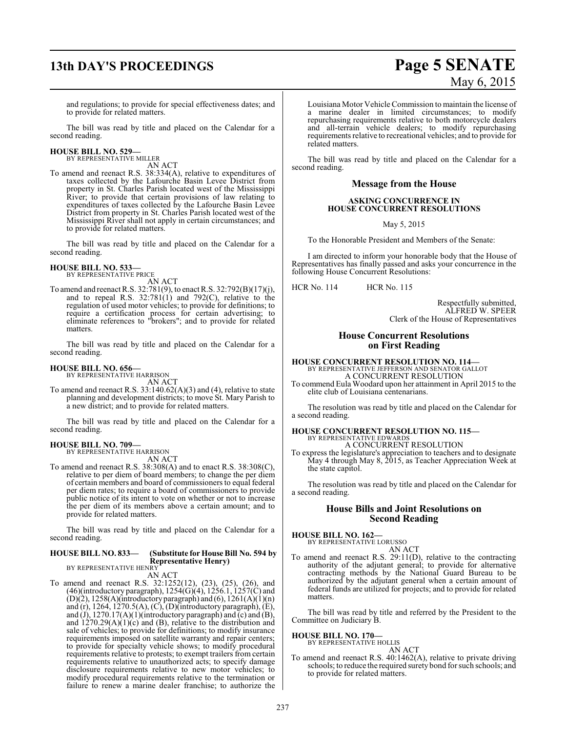# **13th DAY'S PROCEEDINGS Page 5 SENATE**

# May 6, 2015

and regulations; to provide for special effectiveness dates; and to provide for related matters.

The bill was read by title and placed on the Calendar for a second reading.

**HOUSE BILL NO. 529—** BY REPRESENTATIVE MILLER

AN ACT

To amend and reenact R.S. 38:334(A), relative to expenditures of taxes collected by the Lafourche Basin Levee District from property in St. Charles Parish located west of the Mississippi River; to provide that certain provisions of law relating to expenditures of taxes collected by the Lafourche Basin Levee District from property in St. Charles Parish located west of the Mississippi River shall not apply in certain circumstances; and to provide for related matters.

The bill was read by title and placed on the Calendar for a second reading.

# **HOUSE BILL NO. 533—** BY REPRESENTATIVE PRICE

AN ACT

To amend and reenact R.S. 32:781(9), to enact R.S. 32:792(B)(17)(j), and to repeal R.S. 32:781(1) and 792(C), relative to the regulation of used motor vehicles; to provide for definitions; to require a certification process for certain advertising; to eliminate references to "brokers"; and to provide for related matters.

The bill was read by title and placed on the Calendar for a second reading.

#### **HOUSE BILL NO. 656—**

BY REPRESENTATIVE HARRISON

AN ACT To amend and reenact R.S. 33:140.62(A)(3) and (4), relative to state planning and development districts; to move St. Mary Parish to a new district; and to provide for related matters.

The bill was read by title and placed on the Calendar for a second reading.

## **HOUSE BILL NO. 709—** BY REPRESENTATIVE HARRISON

AN ACT

To amend and reenact R.S. 38:308(A) and to enact R.S. 38:308(C), relative to per diem of board members; to change the per diem of certain members and board of commissioners to equal federal per diem rates; to require a board of commissioners to provide public notice of its intent to vote on whether or not to increase the per diem of its members above a certain amount; and to provide for related matters.

The bill was read by title and placed on the Calendar for a second reading.

#### **HOUSE BILL NO. 833— (Substitute for House Bill No. 594 by Representative Henry)** BY REPRESENTATIVE HENRY

AN ACT

To amend and reenact R.S. 32:1252(12), (23), (25), (26), and (46)(introductory paragraph),  $1254(G)(4)$ ,  $1256.1$ ,  $1257(C)$  and  $(D)(2)$ , 1258(A)(introductory paragraph) and (6), 1261(A)(1)(n) and  $(r)$ , 1264, 1270.5(A),  $(C)$ ,  $(D)$ (introductory paragraph),  $(E)$ , and (J), 1270.17(A)(1)(introductory paragraph) and  $\overline{c}$ ) and  $\overline{B}$ ), and 1270.29(A)(1)(c) and (B), relative to the distribution and sale of vehicles; to provide for definitions; to modify insurance requirements imposed on satellite warranty and repair centers; to provide for specialty vehicle shows; to modify procedural requirements relative to protests; to exempt trailers from certain requirements relative to unauthorized acts; to specify damage disclosure requirements relative to new motor vehicles; to modify procedural requirements relative to the termination or failure to renew a marine dealer franchise; to authorize the Louisiana Motor Vehicle Commission to maintain the license of a marine dealer in limited circumstances; to modify repurchasing requirements relative to both motorcycle dealers and all-terrain vehicle dealers; to modify repurchasing requirements relative to recreational vehicles; and to provide for related matters.

The bill was read by title and placed on the Calendar for a second reading.

#### **Message from the House**

#### **ASKING CONCURRENCE IN HOUSE CONCURRENT RESOLUTIONS**

May 5, 2015

To the Honorable President and Members of the Senate:

I am directed to inform your honorable body that the House of Representatives has finally passed and asks your concurrence in the following House Concurrent Resolutions:

HCR No. 114 HCR No. 115

Respectfully submitted, ALFRED W. SPEER Clerk of the House of Representatives

#### **House Concurrent Resolutions on First Reading**

**HOUSE CONCURRENT RESOLUTION NO. 114—**<br>BY REPRESENTATIVE JEFFERSON AND SENATOR GALLOT<br>A CONCURRENT RESOLUTION

To commend Eula Woodard upon her attainment in April 2015 to the elite club of Louisiana centenarians.

The resolution was read by title and placed on the Calendar for a second reading.

#### **HOUSE CONCURRENT RESOLUTION NO. 115—** BY REPRESENTATIVE EDWARDS A CONCURRENT RESOLUTION

To express the legislature's appreciation to teachers and to designate May 4 through May 8, 2015, as Teacher Appreciation Week at the state capitol.

The resolution was read by title and placed on the Calendar for a second reading.

### **House Bills and Joint Resolutions on Second Reading**

**HOUSE BILL NO. 162—** BY REPRESENTATIVE LORUSSO

AN ACT

To amend and reenact R.S. 29:11(D), relative to the contracting authority of the adjutant general; to provide for alternative contracting methods by the National Guard Bureau to be authorized by the adjutant general when a certain amount of federal funds are utilized for projects; and to provide for related matters.

The bill was read by title and referred by the President to the Committee on Judiciary B.

#### **HOUSE BILL NO. 170—**

BY REPRESENTATIVE HOLLIS AN ACT

To amend and reenact R.S. 40:1462(A), relative to private driving schools; to reduce the required surety bond for such schools; and to provide for related matters.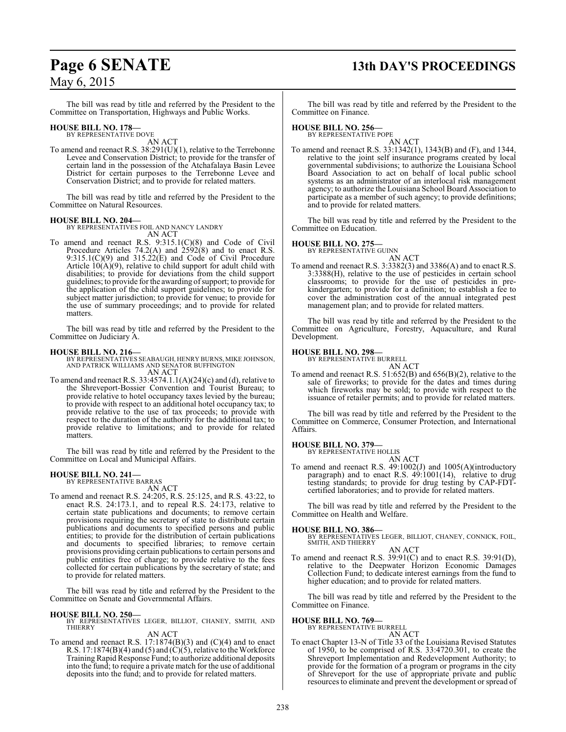# **Page 6 SENATE 13th DAY'S PROCEEDINGS**

## May 6, 2015

The bill was read by title and referred by the President to the Committee on Transportation, Highways and Public Works.

#### **HOUSE BILL NO. 178—** BY REPRESENTATIVE DOVE

AN ACT

To amend and reenact R.S. 38:291(U)(1), relative to the Terrebonne Levee and Conservation District; to provide for the transfer of certain land in the possession of the Atchafalaya Basin Levee District for certain purposes to the Terrebonne Levee and Conservation District; and to provide for related matters.

The bill was read by title and referred by the President to the Committee on Natural Resources.

**HOUSE BILL NO. 204—** BY REPRESENTATIVES FOIL AND NANCY LANDRY AN ACT

To amend and reenact R.S. 9:315.1(C)(8) and Code of Civil Procedure Articles  $74.2(A)$  and  $2592(8)$  and to enact R.S. 9:315.1(C)(9) and 315.22(E) and Code of Civil Procedure Article  $10(A)(9)$ , relative to child support for adult child with disabilities; to provide for deviations from the child support guidelines; to provide for the awarding ofsupport; to provide for the application of the child support guidelines; to provide for subject matter jurisdiction; to provide for venue; to provide for the use of summary proceedings; and to provide for related matters.

The bill was read by title and referred by the President to the Committee on Judiciary A.

## **HOUSE BILL NO. 216—**

BY REPRESENTATIVES SEABAUGH, HENRY BURNS, MIKE JOHNSON, AND PATRICK WILLIAMS AND SENATOR BUFFINGTON AN ACT

To amend and reenact R.S.  $33:4574.1.1(A)(24)(c)$  and (d), relative to the Shreveport-Bossier Convention and Tourist Bureau; to provide relative to hotel occupancy taxes levied by the bureau; to provide with respect to an additional hotel occupancy tax; to provide relative to the use of tax proceeds; to provide with respect to the duration of the authority for the additional tax; to provide relative to limitations; and to provide for related matters.

The bill was read by title and referred by the President to the Committee on Local and Municipal Affairs.

# **HOUSE BILL NO. 241—** BY REPRESENTATIVE BARRAS

AN ACT To amend and reenact R.S. 24:205, R.S. 25:125, and R.S. 43:22, to enact R.S. 24:173.1, and to repeal R.S. 24:173, relative to certain state publications and documents; to remove certain provisions requiring the secretary of state to distribute certain publications and documents to specified persons and public entities; to provide for the distribution of certain publications and documents to specified libraries; to remove certain provisions providing certain publications to certain persons and public entities free of charge; to provide relative to the fees collected for certain publications by the secretary of state; and to provide for related matters.

The bill was read by title and referred by the President to the Committee on Senate and Governmental Affairs.

#### **HOUSE BILL NO. 250—**

BY REPRESENTATIVES LEGER, BILLIOT, CHANEY, SMITH, AND THIERRY AN ACT

To amend and reenact R.S. 17:1874(B)(3) and (C)(4) and to enact R.S.  $17:1874(B)(4)$  and  $(5)$  and  $(C)(5)$ , relative to the Workforce TrainingRapid Response Fund; to authorize additional deposits into the fund; to require a private match for the use of additional deposits into the fund; and to provide for related matters.

The bill was read by title and referred by the President to the Committee on Finance.

#### **HOUSE BILL NO. 256—**

BY REPRESENTATIVE POPE AN ACT

To amend and reenact R.S. 33:1342(1), 1343(B) and (F), and 1344, relative to the joint self insurance programs created by local governmental subdivisions; to authorize the Louisiana School Board Association to act on behalf of local public school systems as an administrator of an interlocal risk management agency; to authorize the Louisiana School Board Association to participate as a member of such agency; to provide definitions; and to provide for related matters.

The bill was read by title and referred by the President to the Committee on Education.

#### **HOUSE BILL NO. 275—**

BY REPRESENTATIVE GUINN

AN ACT

To amend and reenact R.S. 3:3382(3) and 3386(A) and to enact R.S. 3:3388(H), relative to the use of pesticides in certain school classrooms; to provide for the use of pesticides in prekindergarten; to provide for a definition; to establish a fee to cover the administration cost of the annual integrated pest management plan; and to provide for related matters.

The bill was read by title and referred by the President to the Committee on Agriculture, Forestry, Aquaculture, and Rural Development.

#### **HOUSE BILL NO. 298—**

BY REPRESENTATIVE BURRELL AN ACT

To amend and reenact R.S. 51:652(B) and 656(B)(2), relative to the sale of fireworks; to provide for the dates and times during which fireworks may be sold; to provide with respect to the issuance of retailer permits; and to provide for related matters.

The bill was read by title and referred by the President to the Committee on Commerce, Consumer Protection, and International Affairs.

## **HOUSE BILL NO. 379—** BY REPRESENTATIVE HOLLIS

AN ACT

To amend and reenact R.S. 49:1002(J) and 1005(A)(introductory paragraph) and to enact R.S. 49:1001(14), relative to drug testing standards; to provide for drug testing by CAP-FDTcertified laboratories; and to provide for related matters.

The bill was read by title and referred by the President to the Committee on Health and Welfare.

#### **HOUSE BILL NO. 386—**

BY REPRESENTATIVES LEGER, BILLIOT, CHANEY, CONNICK, FOIL, SMITH, AND THIERRY AN ACT

To amend and reenact R.S. 39:91(C) and to enact R.S. 39:91(D), relative to the Deepwater Horizon Economic Damages Collection Fund; to dedicate interest earnings from the fund to higher education; and to provide for related matters.

The bill was read by title and referred by the President to the Committee on Finance.

## **HOUSE BILL NO. 769—** BY REPRESENTATIVE BURRELL

AN ACT

To enact Chapter 13-N of Title 33 of the Louisiana Revised Statutes of 1950, to be comprised of R.S. 33:4720.301, to create the Shreveport Implementation and Redevelopment Authority; to provide for the formation of a program or programs in the city of Shreveport for the use of appropriate private and public resources to eliminate and prevent the development or spread of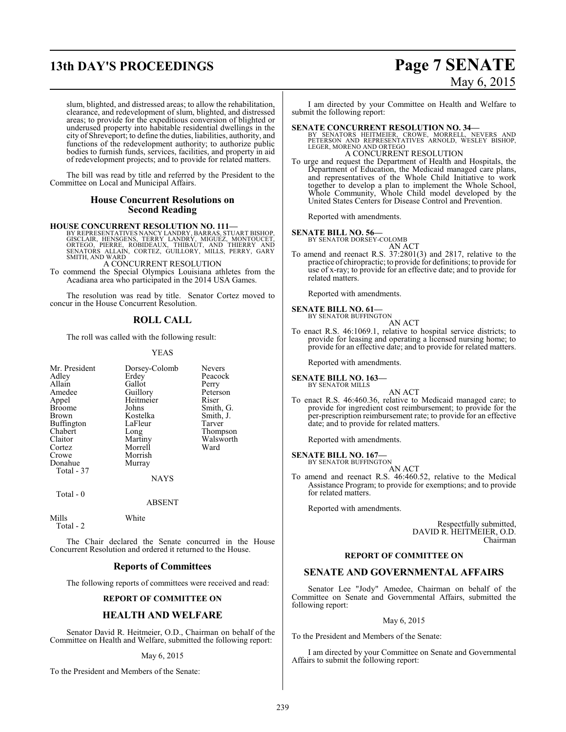# **13th DAY'S PROCEEDINGS Page 7 SENATE**

# May 6, 2015

slum, blighted, and distressed areas; to allow the rehabilitation, clearance, and redevelopment of slum, blighted, and distressed areas; to provide for the expeditious conversion of blighted or underused property into habitable residential dwellings in the city of Shreveport; to define the duties, liabilities, authority, and functions of the redevelopment authority; to authorize public bodies to furnish funds, services, facilities, and property in aid of redevelopment projects; and to provide for related matters.

The bill was read by title and referred by the President to the Committee on Local and Municipal Affairs.

#### **House Concurrent Resolutions on Second Reading**

**HOUSE CONCURRENT RESOLUTION NO. 111—**

BY REPRESENTATIVES NANCY LANDRY, BARRAS, STUART BISHOP,<br>GISCLAIR, HENSGENS, TERRY LANDRY, MIGUEZ, MONTOUCET,<br>ORTEGO, PIERRE, ROBIDEAUX, THIBAUT, AND THIERRY AND<br>SENATORS ALLAIN, CORTEZ, GUILLORY, MILLS, PERRY, GARY<br>SMITH,

A CONCURRENT RESOLUTION

To commend the Special Olympics Louisiana athletes from the Acadiana area who participated in the 2014 USA Games.

The resolution was read by title. Senator Cortez moved to concur in the House Concurrent Resolution.

## **ROLL CALL**

The roll was called with the following result:

#### YEAS

| Heitmeier<br>Riser<br>Appel<br>Johns<br>Smith, G.<br><b>Broome</b>               |  |
|----------------------------------------------------------------------------------|--|
| Kostelka<br>Smith, J.<br>Brown                                                   |  |
| <b>Buffington</b><br>LaFleur<br>Tarver<br>Chabert<br>Thompson<br>Long            |  |
| Walsworth<br>Claitor<br>Martiny<br>Ward<br>Morrell<br>Cortez<br>Morrish<br>Crowe |  |
| Donahue<br>Murray<br>Total - 37                                                  |  |
| NAYS<br>n - Total                                                                |  |

ABSENT

Mills White Total - 2

The Chair declared the Senate concurred in the House Concurrent Resolution and ordered it returned to the House.

### **Reports of Committees**

The following reports of committees were received and read:

#### **REPORT OF COMMITTEE ON**

### **HEALTH AND WELFARE**

Senator David R. Heitmeier, O.D., Chairman on behalf of the Committee on Health and Welfare, submitted the following report:

#### May 6, 2015

To the President and Members of the Senate:

I am directed by your Committee on Health and Welfare to submit the following report:

**SENATE CONCURRENT RESOLUTION NO. 34—**<br>
BY SENATORS HEITMEIER, CROWE, MORRELL, NEVERS AND<br>
PETERSON AND REPRESENTATIVES ARNOLD, WESLEY BISHOP,<br>
LEGER, MORENO AND ORTEGO<br>
A CONCURRENT RESOLUTION

To urge and request the Department of Health and Hospitals, the Department of Education, the Medicaid managed care plans, and representatives of the Whole Child Initiative to work together to develop a plan to implement the Whole School, Whole Community, Whole Child model developed by the United States Centers for Disease Control and Prevention.

Reported with amendments.

#### **SENATE BILL NO. 56—**

BY SENATOR DORSEY-COLOMB AN ACT

To amend and reenact R.S. 37:2801(3) and 2817, relative to the practice of chiropractic; to provide for definitions; to provide for use of x-ray; to provide for an effective date; and to provide for related matters.

Reported with amendments.

#### **SENATE BILL NO. 61—** BY SENATOR BUFFINGTON

AN ACT

To enact R.S. 46:1069.1, relative to hospital service districts; to provide for leasing and operating a licensed nursing home; to provide for an effective date; and to provide for related matters.

Reported with amendments.

#### **SENATE BILL NO. 163—** BY SENATOR MILLS

AN ACT

To enact R.S. 46:460.36, relative to Medicaid managed care; to provide for ingredient cost reimbursement; to provide for the per-prescription reimbursement rate; to provide for an effective date; and to provide for related matters.

Reported with amendments.

### **SENATE BILL NO. 167—**

BY SENATOR BUFFINGTON AN ACT

To amend and reenact R.S. 46:460.52, relative to the Medical Assistance Program; to provide for exemptions; and to provide for related matters.

Reported with amendments.

Respectfully submitted, DAVID R. HEITMEIER, O.D. Chairman

#### **REPORT OF COMMITTEE ON**

#### **SENATE AND GOVERNMENTAL AFFAIRS**

Senator Lee "Jody" Amedee, Chairman on behalf of the Committee on Senate and Governmental Affairs, submitted the following report:

#### May 6, 2015

To the President and Members of the Senate:

I am directed by your Committee on Senate and Governmental Affairs to submit the following report: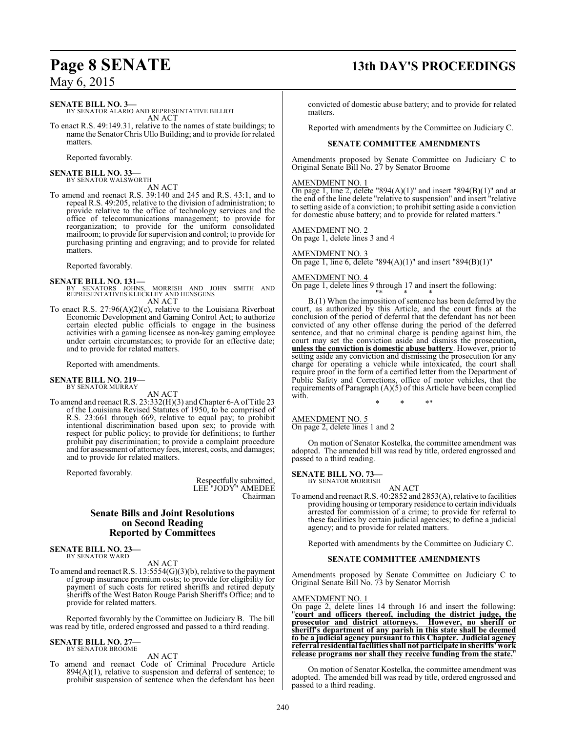## **Page 8 SENATE 13th DAY'S PROCEEDINGS**

**SENATE BILL NO. 3—**

BY SENATOR ALARIO AND REPRESENTATIVE BILLIOT AN ACT

To enact R.S. 49:149.31, relative to the names of state buildings; to name the SenatorChris Ullo Building; and to provide for related matters.

Reported favorably.

**SENATE BILL NO. 33—** BY SENATOR WALSWORTH

AN ACT

To amend and reenact R.S. 39:140 and 245 and R.S. 43:1, and to repeal R.S. 49:205, relative to the division of administration; to provide relative to the office of technology services and the office of telecommunications management; to provide for reorganization; to provide for the uniform consolidated mailroom; to provide for supervision and control; to provide for purchasing printing and engraving; and to provide for related matters.

Reported favorably.

**SENATE BILL NO. 131—**<br>BY SENATORS JOHNS, MORRISH AND JOHN SMITH AND<br>REPRESENTATIVES KLECKLEY AND HENSGENS AN ACT

To enact R.S. 27:96(A)(2)(c), relative to the Louisiana Riverboat Economic Development and Gaming Control Act; to authorize certain elected public officials to engage in the business activities with a gaming licensee as non-key gaming employee under certain circumstances; to provide for an effective date; and to provide for related matters.

Reported with amendments.

#### **SENATE BILL NO. 219—** BY SENATOR MURRAY

AN ACT

To amend and reenact R.S. 23:332(H)(3) and Chapter 6-A of Title 23 of the Louisiana Revised Statutes of 1950, to be comprised of R.S. 23:661 through 669, relative to equal pay; to prohibit intentional discrimination based upon sex; to provide with respect for public policy; to provide for definitions; to further prohibit pay discrimination; to provide a complaint procedure and for assessment of attorney fees, interest, costs, and damages; and to provide for related matters.

Reported favorably.

Respectfully submitted, LEE "JODY" AMEDEE Chairman

#### **Senate Bills and Joint Resolutions on Second Reading Reported by Committees**

**SENATE BILL NO. 23—** BY SENATOR WARD

AN ACT

To amend and reenact R.S. 13:5554(G)(3)(b), relative to the payment of group insurance premium costs; to provide for eligibility for payment of such costs for retired sheriffs and retired deputy sheriffs of the West Baton Rouge Parish Sheriff's Office; and to provide for related matters.

Reported favorably by the Committee on Judiciary B. The bill was read by title, ordered engrossed and passed to a third reading.

#### **SENATE BILL NO. 27—** BY SENATOR BROOME

AN ACT

To amend and reenact Code of Criminal Procedure Article  $894(A)(1)$ , relative to suspension and deferral of sentence; to prohibit suspension of sentence when the defendant has been

convicted of domestic abuse battery; and to provide for related matters.

Reported with amendments by the Committee on Judiciary C.

#### **SENATE COMMITTEE AMENDMENTS**

Amendments proposed by Senate Committee on Judiciary C to Original Senate Bill No. 27 by Senator Broome

#### AMENDMENT NO. 1

On page 1, line 2, delete "894(A)(1)" and insert "894(B)(1)" and at the end of the line delete "relative to suspension" and insert "relative to setting aside of a conviction; to prohibit setting aside a conviction for domestic abuse battery; and to provide for related matters."

#### AMENDMENT NO. 2

On page 1, delete lines 3 and 4

#### AMENDMENT NO. 3

On page 1, line 6, delete "894(A)(1)" and insert "894(B)(1)"

#### AMENDMENT NO. 4

On page 1, delete lines 9 through 17 and insert the following:

"\* \* \*  $B(1)$  When the imposition of sentence has been deferred by the court, as authorized by this Article, and the court finds at the conclusion of the period of deferral that the defendant has not been convicted of any other offense during the period of the deferred sentence, and that no criminal charge is pending against him, the court may set the conviction aside and dismiss the prosecution**, unless the conviction is domestic abuse battery**. However, prior to setting aside any conviction and dismissing the prosecution for any charge for operating a vehicle while intoxicated, the court shall require proof in the form of a certified letter from the Department of Public Safety and Corrections, office of motor vehicles, that the requirements of Paragraph (A)(5) of this Article have been complied with.

#### AMENDMENT NO. 5

On page 2, delete lines 1 and 2

On motion of Senator Kostelka, the committee amendment was adopted. The amended bill was read by title, ordered engrossed and passed to a third reading.

\* \* \*"

## **SENATE BILL NO. 73—**<br>BY SENATOR MORRISH

AN ACT

To amend and reenact R.S. 40:2852 and 2853(A), relative to facilities providing housing or temporary residence to certain individuals arrested for commission of a crime; to provide for referral to these facilities by certain judicial agencies; to define a judicial agency; and to provide for related matters.

Reported with amendments by the Committee on Judiciary C.

#### **SENATE COMMITTEE AMENDMENTS**

Amendments proposed by Senate Committee on Judiciary C to Original Senate Bill No. 73 by Senator Morrish

#### AMENDMENT NO. 1

On page 2, delete lines 14 through 16 and insert the following: "**court and officers thereof, including the district judge, the prosecutor and district attorneys. However, no sheriff or sheriff's department of any parish in this state shall be deemed to be a judicial agency pursuant to this Chapter. Judicial agency referral residential facilities shall not participate in sheriffs' work release programs nor shall they receive funding from the state.**"

On motion of Senator Kostelka, the committee amendment was adopted. The amended bill was read by title, ordered engrossed and passed to a third reading.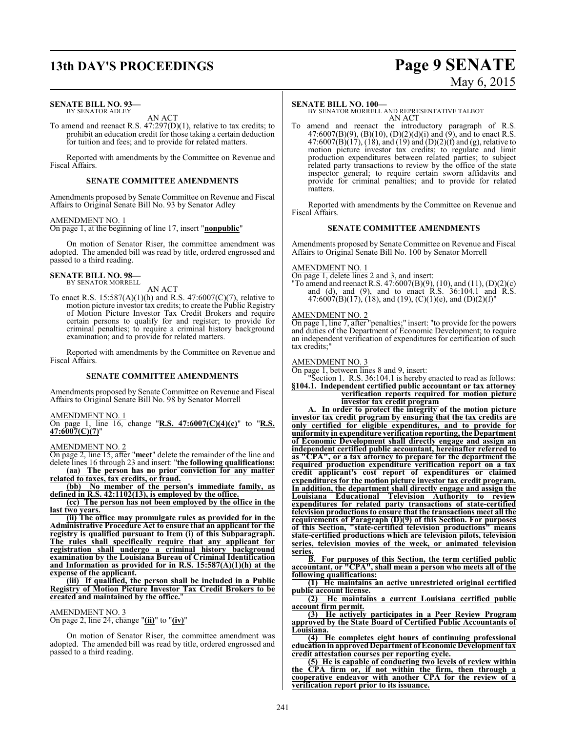## **13th DAY'S PROCEEDINGS Page 9 SENATE**

#### **SENATE BILL NO. 93—** BY SENATOR ADLEY

AN ACT

To amend and reenact R.S. 47:297(D)(1), relative to tax credits; to prohibit an education credit for those taking a certain deduction for tuition and fees; and to provide for related matters.

Reported with amendments by the Committee on Revenue and Fiscal Affairs.

#### **SENATE COMMITTEE AMENDMENTS**

Amendments proposed by Senate Committee on Revenue and Fiscal Affairs to Original Senate Bill No. 93 by Senator Adley

## AMENDMENT NO. 1

On page 1, at the beginning of line 17, insert "**nonpublic**"

On motion of Senator Riser, the committee amendment was adopted. The amended bill was read by title, ordered engrossed and passed to a third reading.

#### **SENATE BILL NO. 98—** BY SENATOR MORRELL

AN ACT

To enact R.S. 15:587(A)(1)(h) and R.S. 47:6007(C)(7), relative to motion picture investor tax credits; to create the Public Registry of Motion Picture Investor Tax Credit Brokers and require certain persons to qualify for and register; to provide for criminal penalties; to require a criminal history background examination; and to provide for related matters.

Reported with amendments by the Committee on Revenue and Fiscal Affairs.

#### **SENATE COMMITTEE AMENDMENTS**

Amendments proposed by Senate Committee on Revenue and Fiscal Affairs to Original Senate Bill No. 98 by Senator Morrell

AMENDMENT NO. 1

#### On page 1, line 16, change "**R.S. 47:6007(C)(4)(c)**" to "**R.S. 47:6007(C)(7)**"

AMENDMENT NO. 2

On page 2, line 15, after "**meet**" delete the remainder of the line and delete lines 16 through 23 and insert: "**the following qualifications: (aa) The person has no prior conviction for any matter related to taxes, tax credits, or fraud.**

**(bb) No member of the person's immediate family, as defined in R.S. 42:1102(13), is employed by the office.**

**(cc) The person has not been employed by the office in the last two years.**

**(ii) The office may promulgate rules as provided for in the Administrative Procedure Act to ensure that an applicant for the registry is qualified pursuant to Item (i) of this Subparagraph. The rules shall specifically require that any applicant for registration shall undergo a criminal history background examination by the Louisiana Bureau of Criminal Identification and Information as provided for in R.S. 15:587(A)(1)(h) at the expense of the applicant.**

**(iii) If qualified, the person shall be included in a Public Registry of Motion Picture Investor Tax Credit Brokers to be created and maintained by the office.**"

#### AMENDMENT NO. 3

On page 2, line 24, change "**(ii)**" to "**(iv)**"

On motion of Senator Riser, the committee amendment was adopted. The amended bill was read by title, ordered engrossed and passed to a third reading.

#### **SENATE BILL NO. 100—**

BY SENATOR MORRELL AND REPRESENTATIVE TALBOT AN ACT

To amend and reenact the introductory paragraph of R.S.  $47:6007(B)(9)$ ,  $(B)(10)$ ,  $(D)(2)(d)(i)$  and  $(9)$ , and to enact R.S. 47:6007(B)(17), (18), and (19) and (D)(2)(f) and (g), relative to motion picture investor tax credits; to regulate and limit production expenditures between related parties; to subject related party transactions to review by the office of the state inspector general; to require certain sworn affidavits and provide for criminal penalties; and to provide for related matters.

Reported with amendments by the Committee on Revenue and Fiscal Affairs.

#### **SENATE COMMITTEE AMENDMENTS**

Amendments proposed by Senate Committee on Revenue and Fiscal Affairs to Original Senate Bill No. 100 by Senator Morrell

#### AMENDMENT NO. 1

On page 1, delete lines 2 and 3, and insert:

"To amend and reenact R.S. 47:6007(B)(9), (10), and (11), (D)(2)(c) and (d), and (9), and to enact R.S. 36:104.1 and R.S. 47:6007(B)(17), (18), and (19), (C)(1)(e), and (D)(2)(f)"

#### AMENDMENT NO. 2

On page 1, line 7, after "penalties;" insert: "to provide for the powers and duties of the Department of Economic Development; to require an independent verification of expenditures for certification of such tax credits;"

#### AMENDMENT NO. 3

On page 1, between lines 8 and 9, insert:

"Section 1. R.S. 36:104.1 is hereby enacted to read as follows: **§104.1. Independent certified public accountant or tax attorney**

**verification reports required for motion picture investor tax credit program**

**A. In order to protect the integrity of the motion picture investor tax credit program by ensuring that the tax credits are only certified for eligible expenditures, and to provide for uniformity in expenditure verification reporting, the Department of Economic Development shall directly engage and assign an independent certified public accountant, hereinafter referred to as "CPA", or a tax attorney to prepare for the department the required production expenditure verification report on a tax credit applicant's cost report of expenditures or claimed expenditures for the motion picture investor tax credit program. In addition, the department shall directly engage and assign the Louisiana Educational Television Authority to review expenditures for related party transactions of state-certified television productions to ensure that the transactions meet all the requirements of Paragraph (D)(9) of this Section. For purposes of this Section, "state-certified television productions" means state-certified productions which are television pilots, television series, television movies of the week, or animated television series.**

**B. For purposes of this Section, the term certified public accountant, or "CPA", shall mean a person who meets all of the following qualifications:**

**(1) He maintains an active unrestricted original certified public account license.**

**(2) He maintains a current Louisiana certified public account firm permit.**

**(3) He actively participates in a Peer Review Program approved by the State Board of Certified Public Accountants of Louisiana.**

**(4) He completes eight hours of continuing professional education in approvedDepartment of Economic Development tax credit attestation courses per reporting cycle.**

**(5) He is capable of conducting two levels of review within the CPA firm or, if not within the firm, then through a cooperative endeavor with another CPA for the review of a verification report prior to its issuance.**

# May 6, 2015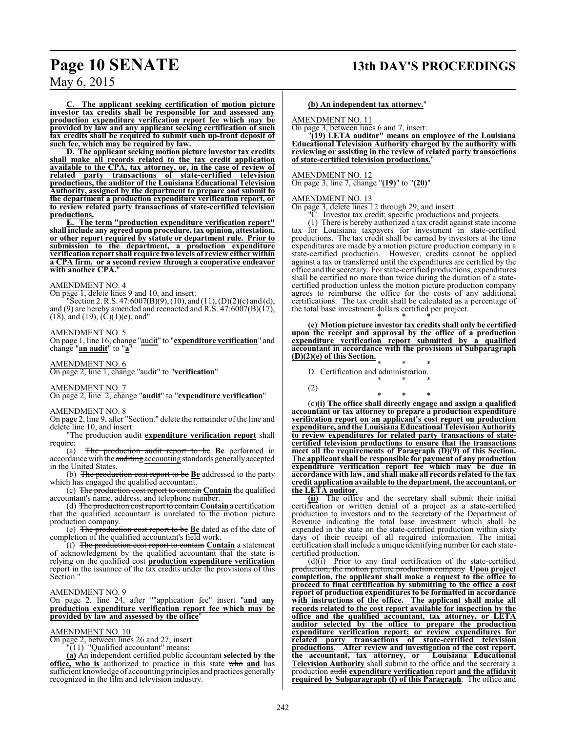**C. The applicant seeking certification of motion picture investor tax credits shall be responsible for and assessed any production expenditure verification report fee which may be provided by law and any applicant seeking certification of such tax credits shall be required to submit such up-front deposit of such fee, which may be required by law.**

**D. The applicant seeking motion picture investor tax credits shall make all records related to the tax credit application available to the CPA, tax attorney, or, in the case of review of related party transactions of state-certified television productions, the auditor of the Louisiana Educational Television Authority, assigned by the department to prepare and submit to the department a production expenditure verification report, or to review related party transactions of state-certified television productions.**

**E. The term "production expenditure verification report" shall include any agreed upon procedure, tax opinion, attestation, or other report required by statute or department rule. Prior to submission to the department, a production expenditure verification report shall require two levels of review either within a CPA firm, or a second review through a cooperative endeavor** with another CPA.

#### AMENDMENT NO. 4

On page 1, delete lines 9 and 10, and insert:

"Section 2. R.S. 47:6007(B)(9), (10), and (11), (D)(2)(c) and (d), and (9) are hereby amended and reenacted and R.S.  $47:6007(B)(17)$ ,  $(18)$ , and  $(19)$ ,  $(\check{C})(1)(e)$ , and"

## AMENDMENT NO. 5

On page 1, line 16, change "audit" to "**expenditure verification**" and change "**an audit**" to "**a**"

AMENDMENT NO. 6

On page 2, line 1, change "audit" to "**verification**"

#### AMENDMENT NO. 7

On page 2, line 2, change "**audit**" to "**expenditure verification**"

#### AMENDMENT NO. 8

On page 2, line 9, after "Section." delete the remainder of the line and delete line 10, and insert:

"The production audit **expenditure verification report** shall require:<br>(a)

The production audit report to be Be performed in accordance with the auditing accounting standards generally accepted in the United States.

(b) The production cost report to be **Be** addressed to the party which has engaged the qualified accountant.

(c) The production cost report to contain **Contain** the qualified accountant's name, address, and telephone number.

(d) The production cost report to contain **Contain**a certification that the qualified accountant is unrelated to the motion picture production company.

(e) The production cost report to be **Be** dated as of the date of completion of the qualified accountant's field work.

(f) The production cost report to contain **Contain** a statement of acknowledgment by the qualified accountant that the state is relying on the qualified cost **production expenditure verification** report in the issuance of the tax credits under the provisions of this Section."

#### AMENDMENT NO. 9

On page 2, line 24, after ""application fee" insert "**and any production expenditure verification report fee which may be provided by law and assessed by the office**"

#### AMENDMENT NO. 10

On page 2, between lines 26 and 27, insert:

"(11) "Qualified accountant" means**:**

**(a)** An independent certified public accountant **selected by the office, who is** authorized to practice in this state who **and** has sufficient knowledge of accounting principles and practices generally recognized in the film and television industry.

#### **(b) An independent tax attorney.**"

AMENDMENT NO. 11

On page 3, between lines 6 and 7, insert:

"**(19) LETA auditor" means an employee of the Louisiana Educational Television Authority charged by the authority with reviewing or assisting in the review of related party transactions of state-certified television productions.**"

#### AMENDMENT NO. 12

On page 3, line 7, change "**(19)**" to "**(20)**"

#### AMENDMENT NO. 13

On page 3, delete lines 12 through 29, and insert:

"C. Investor tax credit; specific productions and projects.

(1) There is hereby authorized a tax credit against state income tax for Louisiana taxpayers for investment in state-certified productions. The tax credit shall be earned by investors at the time expenditures are made by a motion picture production company in a state-certified production. However, credits cannot be applied against a tax or transferred until the expenditures are certified by the office and the secretary. For state-certified productions, expenditures shall be certified no more than twice during the duration of a statecertified production unless the motion picture production company agrees to reimburse the office for the costs of any additional certifications. The tax credit shall be calculated as a percentage of the total base investment dollars certified per project. \* \* \*

**(e) Motion picture investor tax credits shall only be certified upon the receipt and approval by the office of a production expenditure verification report submitted by a qualified accountant in accordance with the provisions of Subparagraph (D)(2)(e) of this Section.**

\* \* \*

\* \* \* D. Certification and administration.

(2)

\* \* \* (c)**(i) The office shall directly engage and assign a qualified accountant or tax attorney to prepare a production expenditure verification report on an applicant's cost report on production expenditure, and the LouisianaEducational Television Authority to review expenditures for related party transactions of statecertified television productions to ensure that the transactions meet all the requirements of Paragraph (D)(9) of this Section. The applicant shall be responsible for payment of any production expenditure verification report fee which may be due in accordance with law, and shall make all records related to the tax credit application available to the department, the accountant, or the LETA auditor.**

**(ii)** The office and the secretary shall submit their initial certification or written denial of a project as a state-certified production to investors and to the secretary of the Department of Revenue indicating the total base investment which shall be expended in the state on the state-certified production within sixty days of their receipt of all required information. The initial certification shall include a unique identifying number for each statecertified production.

 $(d)(i)$  Prior to any final certification of the state-certified production, the motion picture production company **Upon project completion, the applicant shall make a request to the office to proceed to final certification by submitting to the office a cost report of production expenditures to be formatted in accordance with instructions of the office. The applicant shall make all records related to the cost report available for inspection by the office and the qualified accountant, tax attorney, or LETA auditor selected by the office to prepare the production expenditure verification report; or review expenditures for related party transactions of state-certified television productions**. **After review and investigation of the cost report, the accountant, tax attorney, or Louisiana Educational Television Authority** shall submit to the office and the secretary a production audit **expenditure verification** report **and the affidavit required by Subparagraph (f) of this Paragraph**. The office and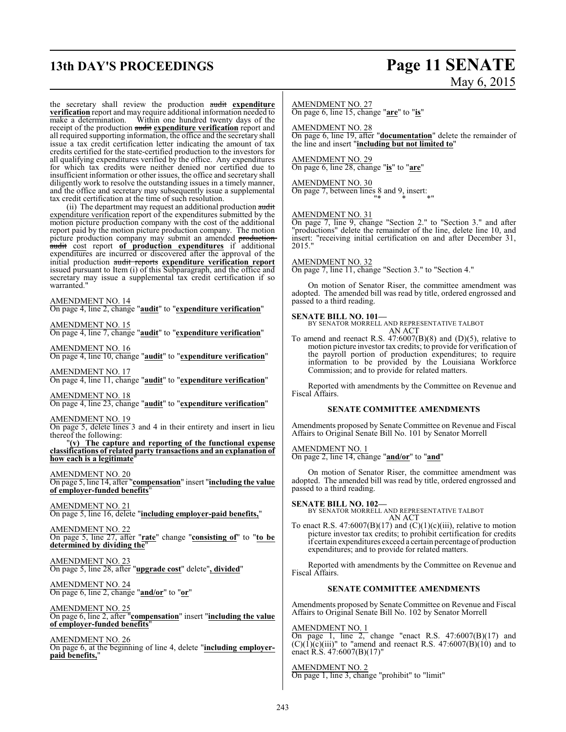## **13th DAY'S PROCEEDINGS Page 11 SENATE**

# May 6, 2015

the secretary shall review the production audit **expenditure verification** report and may require additional information needed to make a determination. Within one hundred twenty days of the receipt of the production audit **expenditure verification** report and all required supporting information, the office and the secretary shall issue a tax credit certification letter indicating the amount of tax credits certified for the state-certified production to the investors for all qualifying expenditures verified by the office. Any expenditures for which tax credits were neither denied nor certified due to insufficient information or other issues, the office and secretary shall diligently work to resolve the outstanding issues in a timely manner, and the office and secretary may subsequently issue a supplemental tax credit certification at the time of such resolution.

(ii) The department may request an additional production audit expenditure verification report of the expenditures submitted by the motion picture production company with the cost of the additional report paid by the motion picture production company. The motion picture production company may submit an amended production audit cost report **of production expenditures** if additional expenditures are incurred or discovered after the approval of the initial production audit reports **expenditure verification report** issued pursuant to Item (i) of this Subparagraph, and the office and secretary may issue a supplemental tax credit certification if so warranted."

AMENDMENT NO. 14

On page 4, line 2, change "**audit**" to "**expenditure verification**"

AMENDMENT NO. 15

On page 4, line 7, change "**audit**" to "**expenditure verification**"

AMENDMENT NO. 16 On page 4, line 10, change "**audit**" to "**expenditure verification**"

AMENDMENT NO. 17

On page 4, line 11, change "**audit**" to "**expenditure verification**"

AMENDMENT NO. 18 On page 4, line 23, change "**audit**" to "**expenditure verification**"

#### AMENDMENT NO. 19

On page 5, delete lines 3 and 4 in their entirety and insert in lieu thereof the following:

"**(v) The capture and reporting of the functional expense classifications of related party transactions and an explanation of how each is a legitimate**"

AMENDMENT NO. 20

On page 5, line 14, after "**compensation**" insert "**including the value of employer-funded benefits**"

AMENDMENT NO. 21 On page 5, line 16, delete "**including employer-paid benefits,**"

AMENDMENT NO. 22 On page 5, line 27, after "**rate**" change "**consisting of**" to "**to be determined by dividing the**"

AMENDMENT NO. 23 On page 5, line 28, after "**upgrade cost**" delete"**, divided**"

AMENDMENT NO. 24 On page 6, line 2, change "**and/or**" to "**or**"

AMENDMENT NO. 25 On page 6, line 2, after "**compensation**" insert "**including the value of employer-funded benefits**"

AMENDMENT NO. 26 On page 6, at the beginning of line 4, delete "**including employerpaid benefits,**"

#### AMENDMENT NO. 27

On page 6, line 15, change "**are**" to "**is**"

AMENDMENT NO. 28

On page 6, line 19, after "**documentation**" delete the remainder of the line and insert "**including but not limited to**"

AMENDMENT NO. 29 On page 6, line 28, change "**is**" to "**are**"

AMENDMENT NO. 30 On page 7, between lines 8 and 9, insert: "\* \* \*"

#### AMENDMENT NO. 31

On page 7, line 9, change "Section 2." to "Section 3." and after "productions" delete the remainder of the line, delete line 10, and insert: "receiving initial certification on and after December 31, 2015."

#### AMENDMENT NO. 32

On page 7, line 11, change "Section 3." to "Section 4."

On motion of Senator Riser, the committee amendment was adopted. The amended bill was read by title, ordered engrossed and passed to a third reading.

**SENATE BILL NO. 101—** BY SENATOR MORRELL AND REPRESENTATIVE TALBOT AN ACT

To amend and reenact R.S. 47:6007(B)(8) and (D)(5), relative to motion picture investor tax credits; to provide for verification of the payroll portion of production expenditures; to require information to be provided by the Louisiana Workforce Commission; and to provide for related matters.

Reported with amendments by the Committee on Revenue and Fiscal Affairs.

#### **SENATE COMMITTEE AMENDMENTS**

Amendments proposed by Senate Committee on Revenue and Fiscal Affairs to Original Senate Bill No. 101 by Senator Morrell

AMENDMENT NO. 1 On page 2, line 14, change "**and/or**" to "**and**"

On motion of Senator Riser, the committee amendment was adopted. The amended bill was read by title, ordered engrossed and passed to a third reading.

**SENATE BILL NO. 102—** BY SENATOR MORRELL AND REPRESENTATIVE TALBOT AN ACT

To enact R.S. 47:6007(B)(17) and  $(C)(1)(c)(iii)$ , relative to motion picture investor tax credits; to prohibit certification for credits if certain expenditures exceed a certain percentage of production expenditures; and to provide for related matters.

Reported with amendments by the Committee on Revenue and Fiscal Affairs.

#### **SENATE COMMITTEE AMENDMENTS**

Amendments proposed by Senate Committee on Revenue and Fiscal Affairs to Original Senate Bill No. 102 by Senator Morrell

AMENDMENT NO. 1

On page 1, line 2, change "enact R.S.  $47:6007(B)(17)$  and  $(C)(1)(c)(iii)$ " to "amend and reenact R.S. 47:6007(B)(10) and to enact R.S. 47:6007(B)(17)"

AMENDMENT NO. 2 On page 1, line 3, change "prohibit" to "limit"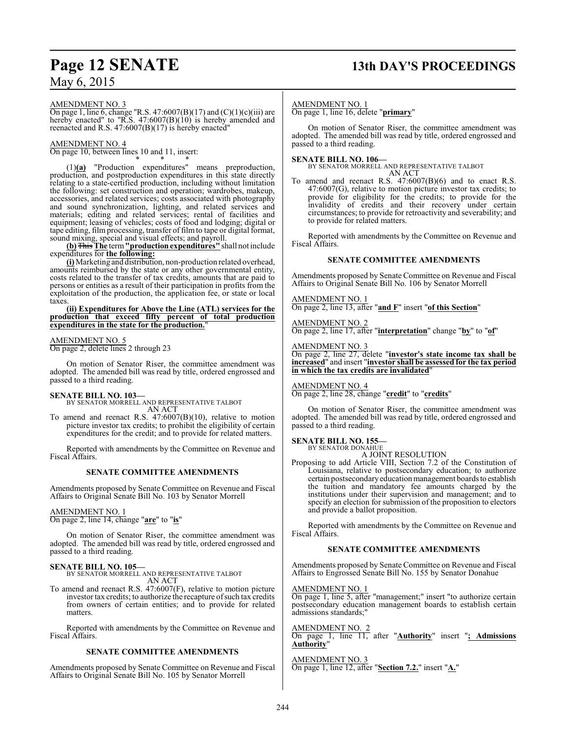## **Page 12 SENATE 13th DAY'S PROCEEDINGS**

May 6, 2015

#### AMENDMENT NO. 3

On page 1, line 6, change "R.S. 47:6007(B)(17) and (C)(1)(c)(iii) are hereby enacted" to "R.S. 47:6007(B)(10) is hereby amended and reenacted and R.S. 47:6007(B)(17) is hereby enacted"

#### AMENDMENT NO. 4

On page 10, between lines 10 and 11, insert:

\* \* \* (1)**(a)** "Production expenditures" means preproduction, production, and postproduction expenditures in this state directly relating to a state-certified production, including without limitation the following: set construction and operation; wardrobes, makeup, accessories, and related services; costs associated with photography and sound synchronization, lighting, and related services and materials; editing and related services; rental of facilities and equipment; leasing of vehicles; costs of food and lodging; digital or tape editing, film processing, transfer of film to tape or digital format, sound mixing, special and visual effects; and payroll.

**(b)**This **The** term**"production expenditures"** shall not include expenditures for **the following:**

**(i)** Marketing and distribution, non-production related overhead, amounts reimbursed by the state or any other governmental entity, costs related to the transfer of tax credits, amounts that are paid to persons or entities as a result of their participation in profits from the exploitation of the production, the application fee, or state or local taxes

**(ii) Expenditures for Above the Line (ATL) services for the production that exceed fifty percent of total production expenditures in the state for the production.**"

#### AMENDMENT NO. 5

On page 2, delete lines 2 through 23

On motion of Senator Riser, the committee amendment was adopted. The amended bill was read by title, ordered engrossed and passed to a third reading.

**SENATE BILL NO. 103—** BY SENATOR MORRELL AND REPRESENTATIVE TALBOT AN ACT

To amend and reenact R.S. 47:6007(B)(10), relative to motion picture investor tax credits; to prohibit the eligibility of certain expenditures for the credit; and to provide for related matters.

Reported with amendments by the Committee on Revenue and Fiscal Affairs.

#### **SENATE COMMITTEE AMENDMENTS**

Amendments proposed by Senate Committee on Revenue and Fiscal Affairs to Original Senate Bill No. 103 by Senator Morrell

#### AMENDMENT NO. 1

On page 2, line 14, change "**are**" to "**is**"

On motion of Senator Riser, the committee amendment was adopted. The amended bill was read by title, ordered engrossed and passed to a third reading.

**SENATE BILL NO. 105—** BY SENATOR MORRELL AND REPRESENTATIVE TALBOT AN ACT

To amend and reenact R.S. 47:6007(F), relative to motion picture investor tax credits; to authorize the recapture of such tax credits from owners of certain entities; and to provide for related matters.

Reported with amendments by the Committee on Revenue and Fiscal Affairs.

#### **SENATE COMMITTEE AMENDMENTS**

Amendments proposed by Senate Committee on Revenue and Fiscal Affairs to Original Senate Bill No. 105 by Senator Morrell

#### AMENDMENT NO. 1

On page 1, line 16, delete "**primary**"

On motion of Senator Riser, the committee amendment was adopted. The amended bill was read by title, ordered engrossed and passed to a third reading.

#### **SENATE BILL NO. 106—**

BY SENATOR MORRELL AND REPRESENTATIVE TALBOT AN ACT

To amend and reenact R.S. 47:6007(B)(6) and to enact R.S. 47:6007(G), relative to motion picture investor tax credits; to provide for eligibility for the credits; to provide for the invalidity of credits and their recovery under certain circumstances; to provide for retroactivity and severability; and to provide for related matters.

Reported with amendments by the Committee on Revenue and Fiscal Affairs.

#### **SENATE COMMITTEE AMENDMENTS**

Amendments proposed by Senate Committee on Revenue and Fiscal Affairs to Original Senate Bill No. 106 by Senator Morrell

AMENDMENT NO. 1

On page 2, line 13, after "**and F**" insert "**of this Section**"

AMENDMENT NO. 2 On page 2, line 17, after "**interpretation**" change "**by**" to "**of**"

AMENDMENT NO. 3

On page 2, line 27, delete "**investor's state income tax shall be increased**" and insert "**investor shall be assessed for the tax period in which the tax credits are invalidated**"

AMENDMENT NO. 4 On page 2, line 28, change "**credit**" to "**credits**"

On motion of Senator Riser, the committee amendment was adopted. The amended bill was read by title, ordered engrossed and passed to a third reading.

# **SENATE BILL NO. 155—** BY SENATOR DONAHUE

A JOINT RESOLUTION

Proposing to add Article VIII, Section 7.2 of the Constitution of Louisiana, relative to postsecondary education; to authorize certain postsecondaryeducation management boards to establish the tuition and mandatory fee amounts charged by the institutions under their supervision and management; and to specify an election for submission of the proposition to electors and provide a ballot proposition.

Reported with amendments by the Committee on Revenue and Fiscal Affairs.

#### **SENATE COMMITTEE AMENDMENTS**

Amendments proposed by Senate Committee on Revenue and Fiscal Affairs to Engrossed Senate Bill No. 155 by Senator Donahue

AMENDMENT NO. 1

On page 1, line 5, after "management;" insert "to authorize certain postsecondary education management boards to establish certain admissions standards;"

AMENDMENT NO. 2 On page 1, line 11, after "**Authority**" insert "**; Admissions Authority**"

AMENDMENT NO. 3 On page 1, line 12, after "**Section 7.2.**" insert "**A.**"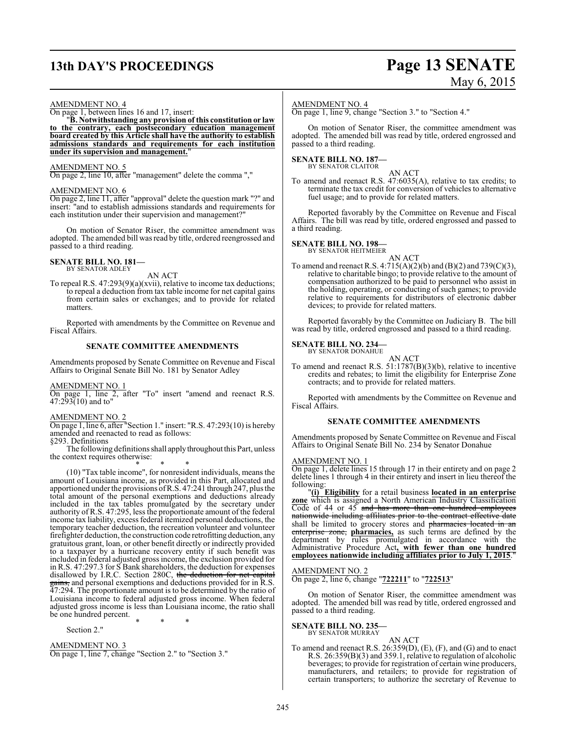## **13th DAY'S PROCEEDINGS Page 13 SENATE**

# May 6, 2015

#### AMENDMENT NO. 4

On page 1, between lines 16 and 17, insert:

"**B. Notwithstanding any provision of this constitution or law to the contrary, each postsecondary education management board created by this Article shall have the authority to establish admissions standards and requirements for each institution under its supervision and management.**"

#### AMENDMENT NO. 5

On page 2, line 10, after "management" delete the comma ","

#### AMENDMENT NO. 6

On page 2, line 11, after "approval" delete the question mark "?" and insert: "and to establish admissions standards and requirements for each institution under their supervision and management?"

On motion of Senator Riser, the committee amendment was adopted. The amended bill was read by title, ordered reengrossed and passed to a third reading.

## **SENATE BILL NO. 181—** BY SENATOR ADLEY

AN ACT

To repeal R.S. 47:293(9)(a)(xvii), relative to income tax deductions; to repeal a deduction from tax table income for net capital gains from certain sales or exchanges; and to provide for related matters.

Reported with amendments by the Committee on Revenue and Fiscal Affairs.

#### **SENATE COMMITTEE AMENDMENTS**

Amendments proposed by Senate Committee on Revenue and Fiscal Affairs to Original Senate Bill No. 181 by Senator Adley

#### AMENDMENT NO. 1

On page 1, line 2, after "To" insert "amend and reenact R.S.  $47:293(10)$  and to"

#### AMENDMENT NO. 2

On page 1, line 6, after "Section 1." insert: "R.S. 47:293(10) is hereby amended and reenacted to read as follows:

§293. Definitions The following definitions shall apply throughout this Part, unless the context requires otherwise:

\* \* \* (10) "Tax table income", for nonresident individuals, means the amount of Louisiana income, as provided in this Part, allocated and apportioned under the provisions ofR.S. 47:241 through 247, plus the total amount of the personal exemptions and deductions already included in the tax tables promulgated by the secretary under authority of R.S. 47:295, less the proportionate amount of the federal income tax liability, excess federal itemized personal deductions, the temporary teacher deduction, the recreation volunteer and volunteer firefighter deduction, the construction code retrofitting deduction, any gratuitous grant, loan, or other benefit directly or indirectly provided to a taxpayer by a hurricane recovery entity if such benefit was included in federal adjusted gross income, the exclusion provided for in R.S. 47:297.3 for S Bank shareholders, the deduction for expenses disallowed by I.R.C. Section 280C, the deduction for net capital gains, and personal exemptions and deductions provided for in R.S. 47:294. The proportionate amount is to be determined by the ratio of Louisiana income to federal adjusted gross income. When federal adjusted gross income is less than Louisiana income, the ratio shall be one hundred percent. \* \* \*

Section 2."

AMENDMENT NO. 3 On page 1, line 7, change "Section 2." to "Section 3."

#### AMENDMENT NO. 4

On page 1, line 9, change "Section 3." to "Section 4."

On motion of Senator Riser, the committee amendment was adopted. The amended bill was read by title, ordered engrossed and passed to a third reading.

## **SENATE BILL NO. 187—** BY SENATOR CLAITOR

AN ACT To amend and reenact R.S. 47:6035(A), relative to tax credits; to terminate the tax credit for conversion of vehicles to alternative fuel usage; and to provide for related matters.

Reported favorably by the Committee on Revenue and Fiscal Affairs. The bill was read by title, ordered engrossed and passed to a third reading.

#### **SENATE BILL NO. 198—**

BY SENATOR HEITMEIER

#### AN ACT

To amend and reenact R.S. 4:715(A)(2)(b) and (B)(2) and 739(C)(3), relative to charitable bingo; to provide relative to the amount of compensation authorized to be paid to personnel who assist in the holding, operating, or conducting of such games; to provide relative to requirements for distributors of electronic dabber devices; to provide for related matters.

Reported favorably by the Committee on Judiciary B. The bill was read by title, ordered engrossed and passed to a third reading.

## **SENATE BILL NO. 234—** BY SENATOR DONAHUE

AN ACT

To amend and reenact R.S.  $51:1787(B)(3)(b)$ , relative to incentive credits and rebates; to limit the eligibility for Enterprise Zone contracts; and to provide for related matters.

Reported with amendments by the Committee on Revenue and Fiscal Affairs.

#### **SENATE COMMITTEE AMENDMENTS**

Amendments proposed by Senate Committee on Revenue and Fiscal Affairs to Original Senate Bill No. 234 by Senator Donahue

#### AMENDMENT NO. 1

On page 1, delete lines 15 through 17 in their entirety and on page 2 delete lines 1 through 4 in their entirety and insert in lieu thereof the following:

"**(i) Eligibility** for a retail business **located in an enterprise zone** which is assigned a North American Industry Classification Code of 44 or 45 and has more than one hundred employees nationwide including affiliates prior to the contract effective date shall be limited to grocery stores and pharmacies located in an enterprise zone, **pharmacies,** as such terms are defined by the department by rules promulgated in accordance with the Administrative Procedure Act**, with fewer than one hundred employees nationwide including affiliates prior to July 1, 2015**."

#### AMENDMENT NO. 2

On page 2, line 6, change "**722211**" to "**722513**"

On motion of Senator Riser, the committee amendment was adopted. The amended bill was read by title, ordered engrossed and passed to a third reading.

**SENATE BILL NO. 235—** BY SENATOR MURRAY

AN ACT

To amend and reenact R.S. 26:359(D), (E), (F), and (G) and to enact R.S. 26:359(B)(3) and 359.1, relative to regulation of alcoholic beverages; to provide for registration of certain wine producers, manufacturers, and retailers; to provide for registration of certain transporters; to authorize the secretary of Revenue to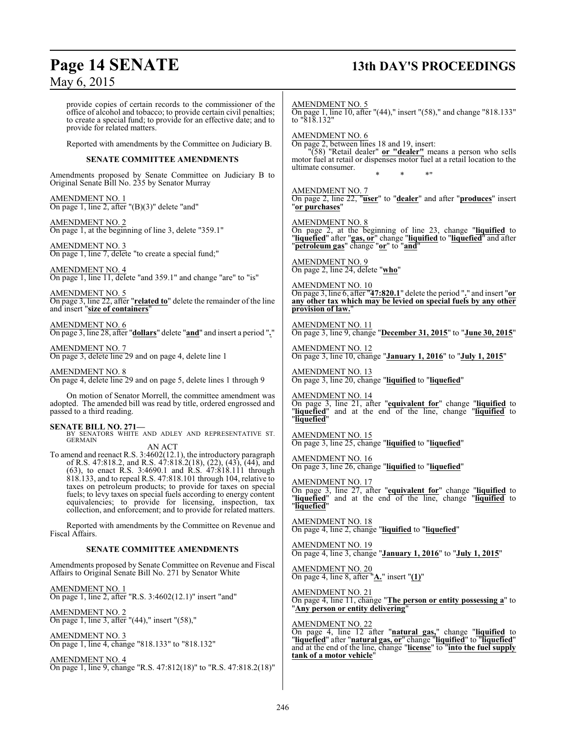## **Page 14 SENATE 13th DAY'S PROCEEDINGS**

provide copies of certain records to the commissioner of the office of alcohol and tobacco; to provide certain civil penalties; to create a special fund; to provide for an effective date; and to provide for related matters. Reported with amendments by the Committee on Judiciary B. **SENATE COMMITTEE AMENDMENTS** Amendments proposed by Senate Committee on Judiciary B to Original Senate Bill No. 235 by Senator Murray AMENDMENT NO. 1 On page 1, line 2, after "(B)(3)" delete "and" AMENDMENT NO. 2 On page 1, at the beginning of line 3, delete "359.1" AMENDMENT NO. 3 On page 1, line 7, delete "to create a special fund;" AMENDMENT NO. 4 On page 1, line 11, delete "and 359.1" and change "are" to "is" AMENDMENT NO. 5 On page 3, line 22, after "**related to**" delete the remainder of the line and insert "**size of containers**" AMENDMENT NO. 6 On page 3, line 28, after "**dollars**" delete "**and**" and insert a period "**.**" AMENDMENT NO. 7 On page 3, delete line 29 and on page 4, delete line 1 AMENDMENT NO. 8 On page 4, delete line 29 and on page 5, delete lines 1 through 9 On motion of Senator Morrell, the committee amendment was adopted. The amended bill was read by title, ordered engrossed and passed to a third reading. **SENATE BILL NO. 271—** BY SENATORS WHITE AND ADLEY AND REPRESENTATIVE ST. GERMAIN AN ACT To amend and reenact R.S. 3:4602(12.1), the introductory paragraph of R.S. 47:818.2, and R.S. 47:818.2(18), (22), (43), (44), and (63), to enact R.S. 3:4690.1 and R.S. 47:818.111 through 818.133, and to repeal R.S. 47:818.101 through 104, relative to taxes on petroleum products; to provide for taxes on special fuels; to levy taxes on special fuels according to energy content equivalencies; to provide for licensing, inspection, tax collection, and enforcement; and to provide for related matters. Reported with amendments by the Committee on Revenue and Fiscal Affairs. **SENATE COMMITTEE AMENDMENTS** Amendments proposed by Senate Committee on Revenue and Fiscal Affairs to Original Senate Bill No. 271 by Senator White AMENDMENT NO. 1 On page 1, line 2, after "R.S. 3:4602(12.1)" insert "and" AMENDMENT NO. 2 On page 1, line 3, after "(44)," insert "(58)," AMENDMENT NO. 3 AMENDMENT NO. 5 On page 1, line 10, after "(44)," insert "(58)," and change "818.133" to "818.132" AMENDMENT NO. 6 On page 2, between lines 18 and 19, insert: "(58) "Retail dealer" **or "dealer"** means a person who sells motor fuel at retail or dispenses motor fuel at a retail location to the ultimate consumer. \* \* \*" AMENDMENT NO. 7 On page 2, line 22, "**user**" to "**dealer**" and after "**produces**" insert "**or purchases**" AMENDMENT NO. 8 On page 2, at the beginning of line 23, change "**liquified** to "**liquefied**" after "**gas, or**" change "**liquified** to "**liquefied**" and after "**petroleum gas**" change "**or**" to "**and**" AMENDMENT NO. 9 On page 2, line 24, delete "**who**" AMENDMENT NO. 10 On page 3, line 6, after "**47:820.1**" delete the period "**.**" and insert "**or any other tax which may be levied on special fuels by any other provision of law.**" AMENDMENT NO. 11 On page 3, line 9, change "**December 31, 2015**" to "**June 30, 2015**" AMENDMENT NO. 12 On page 3, line 10, change "**January 1, 2016**" to "**July 1, 2015**" AMENDMENT NO. 13 On page 3, line 20, change "**liquified** to "**liquefied**" AMENDMENT NO. 14 On page 3, line 21, after "**equivalent for**" change "**liquified** to "**liquefied**" and at the end of the line, change "**liquified** to "**liquefied**" AMENDMENT NO. 15 On page 3, line 25, change "**liquified** to "**liquefied**" AMENDMENT NO. 16 On page 3, line 26, change "**liquified** to "**liquefied**" AMENDMENT NO. 17 On page 3, line 27, after "**equivalent for**" change "**liquified** to "**liquefied**" and at the end of the line, change "**liquified** to "**liquefied**" AMENDMENT NO. 18 On page 4, line 2, change "**liquified** to "**liquefied**" AMENDMENT NO. 19 On page 4, line 3, change "**January 1, 2016**" to "**July 1, 2015**" AMENDMENT NO. 20 On page 4, line 8, after "**A.**" insert "**(1)**" AMENDMENT NO. 21 On page 4, line 11, change "**The person or entity possessing a**" to "**Any person or entity delivering**" AMENDMENT NO. 22 On page 4, line 12 after "**natural gas,**" change "**liquified** to "**liquefied**" after "**natural gas, or**" change "**liquified**" to "**liquefied**"

On page 1, line 4, change "818.133" to "818.132"

AMENDMENT NO. 4 On page 1, line 9, change "R.S. 47:812(18)" to "R.S. 47:818.2(18)" **tank of a motor vehicle**"

and at the end of the line, change "**license**" to "**into the fuel supply**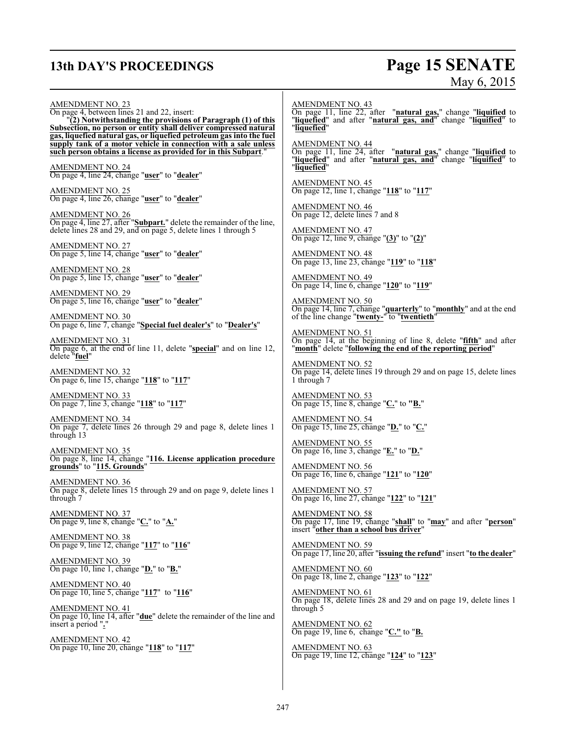## **13th DAY'S PROCEEDINGS Page 15 SENATE**

# May 6, 2015

AMENDMENT NO. 23 On page 4, between lines 21 and 22, insert: "**(2) Notwithstanding the provisions of Paragraph (1) of this Subsection, no person or entity shall deliver compressed natural gas, liquefied natural gas, or liquefied petroleum gas into the fuel supply tank of a motor vehicle in connection with a sale unless such person obtains a license as provided for in this Subpart**." AMENDMENT NO. 24 On page 4, line 24, change "**user**" to "**dealer**" AMENDMENT NO. 25 On page 4, line 26, change "**user**" to "**dealer**" AMENDMENT NO. 26 On page 4, line 27, after "**Subpart.**" delete the remainder of the line, delete lines 28 and 29, and on page 5, delete lines 1 through 5 AMENDMENT NO. 27 On page 5, line 14, change "**user**" to "**dealer**" AMENDMENT NO. 28 On page 5, line 15, change "**user**" to "**dealer**" AMENDMENT NO. 29 On page 5, line 16, change "**user**" to "**dealer**" AMENDMENT NO. 30 On page 6, line 7, change "**Special fuel dealer's**" to "**Dealer's**" AMENDMENT NO. 31 On page 6, at the end of line 11, delete "**special**" and on line 12, delete "**fuel**" AMENDMENT NO. 32 On page 6, line 15, change "**118**" to "**117**" AMENDMENT NO. 33 On page 7, line 3, change "**118**" to "**117**" AMENDMENT NO. 34 On page 7, delete lines 26 through 29 and page 8, delete lines 1 through 13 AMENDMENT NO. 35 On page 8, line 14, change "**116. License application procedure grounds**" to "**115. Grounds**" AMENDMENT NO. 36 On page 8, delete lines 15 through 29 and on page 9, delete lines 1 through 7 AMENDMENT NO. 37 On page 9, line 8, change "**C.**" to "**A.**" AMENDMENT NO. 38 On page 9, line 12, change "**117**" to "**116**" AMENDMENT NO. 39 On page 10, line 1, change "**D.**" to "**B.**" AMENDMENT NO. 40 On page 10, line 5, change "**117**" to "**116**" AMENDMENT NO. 41 On page 10, line 14, after "**due**" delete the remainder of the line and insert a period "**.**" AMENDMENT NO. 42 On page 10, line 20, change "**118**" to "**117**" AMENDMENT NO. 43 On page 11, line 22, after "**natural gas,**" change "**liquified** to "**liquefied**" and after "**natural gas, and**" change "**liquified**" to "**liquefied**" AMENDMENT NO. 44 On page 11, line 24, after "**natural gas,**" change "**liquified** to "**liquefied**" and after "**natural gas, and**" change "**liquified**" to "**liquefied**" AMENDMENT NO. 45 On page 12, line 1, change "**118**" to "**117**" AMENDMENT NO. 46 On page 12, delete lines 7 and 8 AMENDMENT NO. 47 On page 12, line 9, change "**(3)**" to "**(2)**" AMENDMENT NO. 48 On page 13, line 23, change "**119**" to "**118**" AMENDMENT NO. 49 On page 14, line 6, change "**120**" to "**119**" AMENDMENT NO. 50 On page 14, line 7, change "**quarterly**" to "**monthly**" and at the end of the line change "**twenty-**" to "**twentieth**" AMENDMENT NO. 51 On page 14, at the beginning of line 8, delete "**fifth**" and after "**month**" delete "**following the end of the reporting period**" AMENDMENT NO. 52 On page 14, delete lines 19 through 29 and on page 15, delete lines 1 through 7 AMENDMENT NO. 53 On page 15, line 8, change "**C.**" to **"B.**" AMENDMENT NO. 54 On page 15, line 25, change "**D.**" to "**C.**" AMENDMENT NO. 55 On page 16, line 3, change "**E.**" to "**D.**" AMENDMENT NO. 56 On page 16, line 6, change "**121**" to "**120**" AMENDMENT NO. 57 On page 16, line 27, change "**122**" to "**121**" AMENDMENT NO. 58 On page 17, line 19, change "**shall**" to "**may**" and after "**person**" insert "**other than a school bus driver**" AMENDMENT NO. 59 On page 17, line 20, after "**issuing the refund**" insert "**to the dealer**" AMENDMENT NO. 60 On page 18, line 2, change "**123**" to "**122**" AMENDMENT NO. 61 On page 18, delete lines 28 and 29 and on page 19, delete lines 1 through 5 AMENDMENT NO. 62 On page 19, line 6, change "**C."** to "**B.** AMENDMENT NO. 63 On page 19, line 12, change "**124**" to "**123**"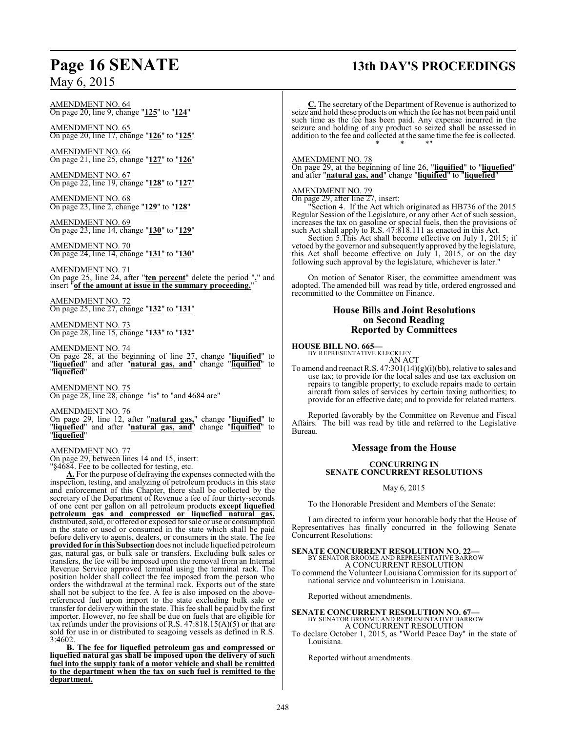AMENDMENT NO. 64 On page 20, line 9, change "**125**" to "**124**"

AMENDMENT NO. 65 On page 20, line 17, change "**126**" to "**125**"

AMENDMENT NO. 66 On page 21, line 25, change "**127**" to "**126**"

AMENDMENT NO. 67 On page 22, line 19, change "**128**" to "**127**"

AMENDMENT NO. 68 On page 23, line 2, change "**129**" to "**128**"

AMENDMENT NO. 69 On page 23, line 14, change "**130**" to "**129**"

AMENDMENT NO. 70 On page 24, line 14, change "**131**" to "**130**"

AMENDMENT NO. 71 On page 25, line 24, after "**ten percent**" delete the period "**.**" and insert "**of the amount at issue in the summary proceeding.**"

AMENDMENT NO. 72 On page 25, line 27, change "**132**" to "**131**"

AMENDMENT NO. 73 On page 28, line 15, change "**133**" to "**132**"

#### AMENDMENT NO. 74

On page 28, at the beginning of line 27, change "**liquified**" to "**liquefied**" and after "**natural gas, and**" change "**liquified**" to "**liquefied**"

AMENDMENT NO. 75 On page 28, line 28, change "is" to "and 4684 are"

AMENDMENT NO. 76

On page 29, line 12, after "**natural gas,**" change "**liquified**" to "**liquefied**" and after "**natural gas, and**" change "**liquified**" to "**liquefied**"

#### AMENDMENT NO. 77

On page 29, between lines 14 and 15, insert:

"§4684. Fee to be collected for testing, etc.

**A.** For the purpose of defraying the expenses connected with the inspection, testing, and analyzing of petroleum products in this state and enforcement of this Chapter, there shall be collected by the secretary of the Department of Revenue a fee of four thirty-seconds of one cent per gallon on all petroleum products **except liquefied petroleum gas and compressed or liquefied natural gas,** distributed, sold, or offered or exposed for sale or use or consumption in the state or used or consumed in the state which shall be paid before delivery to agents, dealers, or consumers in the state. The fee **provided for in this Subsection** does not include liquefied petroleum gas, natural gas, or bulk sale or transfers. Excluding bulk sales or transfers, the fee will be imposed upon the removal from an Internal Revenue Service approved terminal using the terminal rack. The position holder shall collect the fee imposed from the person who orders the withdrawal at the terminal rack. Exports out of the state shall not be subject to the fee. A fee is also imposed on the abovereferenced fuel upon import to the state excluding bulk sale or transfer for delivery within the state. This fee shall be paid by the first importer. However, no fee shall be due on fuels that are eligible for tax refunds under the provisions of R.S.  $47:818.15(A)(5)$  or that are sold for use in or distributed to seagoing vessels as defined in R.S. 3:4602.

**B. The fee for liquefied petroleum gas and compressed or liquefied natural gas shall be imposed upon the delivery of such fuel into the supply tank of a motor vehicle and shall be remitted to the department when the tax on such fuel is remitted to the department.**

## **Page 16 SENATE 13th DAY'S PROCEEDINGS**

**C.** The secretary of the Department of Revenue is authorized to seize and hold these products on which the fee has not been paid until such time as the fee has been paid. Any expense incurred in the seizure and holding of any product so seized shall be assessed in addition to the fee and collected at the same time the fee is collected. \* \* \*"

#### AMENDMENT NO. 78

On page 29, at the beginning of line 26, "**liquified**" to "**liquefied**" and after "**natural gas, and**" change "**liquified**" to "**liquefied**"

#### AMENDMENT NO. 79

On page 29, after line 27, insert:

"Section 4. If the Act which originated as HB736 of the 2015 Regular Session of the Legislature, or any other Act of such session, increases the tax on gasoline or special fuels, then the provisions of such Act shall apply to R.S. 47:818.111 as enacted in this Act.

Section 5.This Act shall become effective on July 1, 2015; if vetoed by the governor and subsequently approved by the legislature, this Act shall become effective on July 1, 2015, or on the day following such approval by the legislature, whichever is later."

On motion of Senator Riser, the committee amendment was adopted. The amended bill was read by title, ordered engrossed and recommitted to the Committee on Finance.

#### **House Bills and Joint Resolutions on Second Reading Reported by Committees**

#### **HOUSE BILL NO. 665—**

BY REPRESENTATIVE KLECKLEY AN ACT

To amend and reenact R.S. 47:301(14)(g)(i)(bb), relative to sales and use tax; to provide for the local sales and use tax exclusion on repairs to tangible property; to exclude repairs made to certain aircraft from sales of services by certain taxing authorities; to provide for an effective date; and to provide for related matters.

Reported favorably by the Committee on Revenue and Fiscal Affairs. The bill was read by title and referred to the Legislative Bureau.

#### **Message from the House**

#### **CONCURRING IN SENATE CONCURRENT RESOLUTIONS**

May 6, 2015

To the Honorable President and Members of the Senate:

I am directed to inform your honorable body that the House of Representatives has finally concurred in the following Senate Concurrent Resolutions:

#### **SENATE CONCURRENT RESOLUTION NO. 22—**

BY SENATOR BROOME AND REPRESENTATIVE BARROW A CONCURRENT RESOLUTION

To commend the Volunteer Louisiana Commission for its support of national service and volunteerism in Louisiana.

Reported without amendments.

## **SENATE CONCURRENT RESOLUTION NO. 67—** BY SENATOR BROOME AND REPRESENTATIVE BARROW A CONCURRENT RESOLUTION

To declare October 1, 2015, as "World Peace Day" in the state of Louisiana.

Reported without amendments.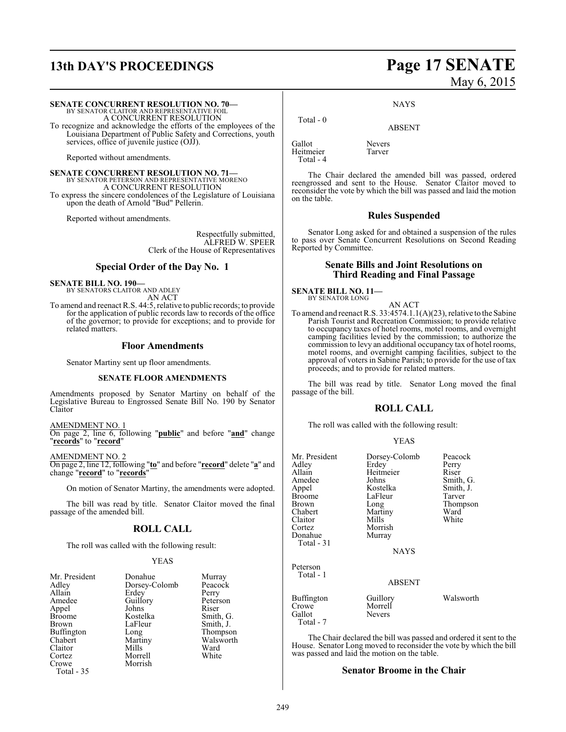# **13th DAY'S PROCEEDINGS Page 17 SENATE**

# May 6, 2015

**SENATE CONCURRENT RESOLUTION NO. 70—**

BY SENATOR CLAITOR AND REPRESENTATIVE FOIL A CONCURRENT RESOLUTION

To recognize and acknowledge the efforts of the employees of the Louisiana Department of Public Safety and Corrections, youth services, office of juvenile justice (OJJ).

Reported without amendments.

**SENATE CONCURRENT RESOLUTION NO. 71—** BY SENATOR PETERSON AND REPRESENTATIVE MORENO A CONCURRENT RESOLUTION To express the sincere condolences of the Legislature of Louisiana upon the death of Arnold "Bud" Pellerin.

Reported without amendments.

Respectfully submitted, ALFRED W. SPEER Clerk of the House of Representatives

#### **Special Order of the Day No. 1**

**SENATE BILL NO. 190—** BY SENATORS CLAITOR AND ADLEY

AN ACT To amend and reenact R.S. 44:5, relative to public records; to provide for the application of public records law to records of the office of the governor; to provide for exceptions; and to provide for related matters.

#### **Floor Amendments**

Senator Martiny sent up floor amendments.

#### **SENATE FLOOR AMENDMENTS**

Amendments proposed by Senator Martiny on behalf of the Legislative Bureau to Engrossed Senate Bill No. 190 by Senator Claitor

AMENDMENT NO. 1

On page 2, line 6, following "**public**" and before "**and**" change "**records**" to "**record**"

AMENDMENT NO. 2

On page 2, line 12, following "**to**" and before "**record**" delete "**a**" and change "**record**" to "**records**"

On motion of Senator Martiny, the amendments were adopted.

The bill was read by title. Senator Claitor moved the final passage of the amended bill.

### **ROLL CALL**

The roll was called with the following result:

#### YEAS

| Mr. President | Donahue       | Murray    |
|---------------|---------------|-----------|
| Adley         | Dorsey-Colomb | Peacock   |
| Allain        | Erdey         | Perry     |
| Amedee        | Guillory      | Peterson  |
| Appel         | Johns         | Riser     |
| <b>Broome</b> | Kostelka      | Smith, G. |
| Brown         | LaFleur       | Smith, J. |
| Buffington    | Long          | Thompson  |
| Chabert       | Martiny       | Walsworth |
| Claitor       | Mills         | Ward      |
| Cortez        | Morrell       | White     |
| Crowe         | Morrish       |           |
| Total - 35    |               |           |

ABSENT

Gallot Nevers<br>
Heitmeier Tarver Heitmeier Total - 4

Total - 0

The Chair declared the amended bill was passed, ordered reengrossed and sent to the House. Senator Claitor moved to reconsider the vote by which the bill was passed and laid the motion on the table.

**NAYS** 

#### **Rules Suspended**

Senator Long asked for and obtained a suspension of the rules to pass over Senate Concurrent Resolutions on Second Reading Reported by Committee.

#### **Senate Bills and Joint Resolutions on Third Reading and Final Passage**

**SENATE BILL NO. 11—** BY SENATOR LONG

#### AN ACT

To amend and reenact R.S. 33:4574.1.1(A)(23), relative to the Sabine Parish Tourist and Recreation Commission; to provide relative to occupancy taxes of hotel rooms, motel rooms, and overnight camping facilities levied by the commission; to authorize the commission to levy an additional occupancy tax of hotel rooms, motel rooms, and overnight camping facilities, subject to the approval of voters in Sabine Parish; to provide for the use of tax proceeds; and to provide for related matters.

The bill was read by title. Senator Long moved the final passage of the bill.

#### **ROLL CALL**

The roll was called with the following result:

#### YEAS

| Mr. President<br>Adley<br>Allain<br>Amedee<br>Appel<br><b>Broome</b><br>Brown<br>Chabert<br>Claitor<br>Cortez<br>Donahue<br>Total - 31 | Dorsey-Colomb<br>Erdey<br>Heitmeier<br>Johns<br>Kostelka<br>LaFleur<br>Long<br>Martiny<br>Mills<br>Morrish<br>Murray<br><b>NAYS</b> | Peacock<br>Perry<br>Riser<br>Smith, G.<br>Smith, J.<br>Tarver<br>Thompson<br>Ward<br>White |
|----------------------------------------------------------------------------------------------------------------------------------------|-------------------------------------------------------------------------------------------------------------------------------------|--------------------------------------------------------------------------------------------|
| Peterson<br>Total - 1                                                                                                                  | <b>ABSENT</b>                                                                                                                       |                                                                                            |
| <b>Buffington</b><br>Crowe<br>Gallot                                                                                                   | Guillory<br>Morrell<br>Nevers                                                                                                       | Walsworth                                                                                  |

The Chair declared the bill was passed and ordered it sent to the House. Senator Long moved to reconsider the vote by which the bill was passed and laid the motion on the table.

#### **Senator Broome in the Chair**

Total - 7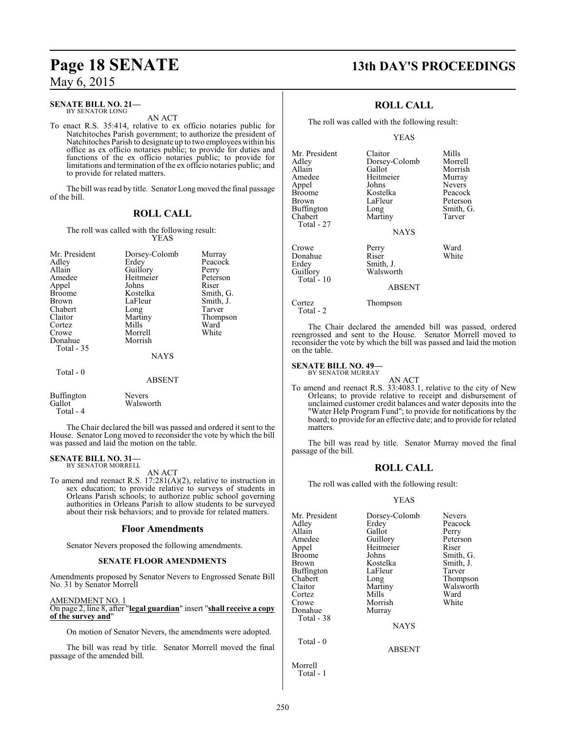#### **SENATE BILL NO. 21—** BY SENATOR LONG

AN ACT

To enact R.S. 35:414, relative to ex officio notaries public for Natchitoches Parish government; to authorize the president of Natchitoches Parish to designate up to two employees within his office as ex officio notaries public; to provide for duties and functions of the ex officio notaries public; to provide for limitations and termination of the ex officio notaries public; and to provide for related matters.

The bill was read by title. Senator Long moved the final passage of the bill.

## **ROLL CALL**

The roll was called with the following result: YEAS

| Mr. President<br>Adley<br>Allain<br>Amedee<br>Appel<br><b>Broome</b><br><b>Brown</b><br>Chabert<br>Claitor<br>Cortez<br>Crowe<br>Donahue<br>Total - 35 | Dorsey-Colomb<br>Erdev<br>Guillory<br>Heitmeier<br>Johns<br>Kostelka<br>LaFleur<br>Long<br>Martiny<br>Mills<br>Morrell<br>Morrish<br><b>NAYS</b> | Murray<br>Peacock<br>Perry<br>Peterson<br>Riser<br>Smith, G.<br>Smith, J.<br>Tarver<br>Thompson<br>Ward<br>White |
|--------------------------------------------------------------------------------------------------------------------------------------------------------|--------------------------------------------------------------------------------------------------------------------------------------------------|------------------------------------------------------------------------------------------------------------------|
|                                                                                                                                                        |                                                                                                                                                  |                                                                                                                  |
| Total - 0                                                                                                                                              | <b>ABSENT</b>                                                                                                                                    |                                                                                                                  |

| Buffington | <b>Nevers</b> |
|------------|---------------|
| Gallot     | Walsworth     |
| Total - 4  |               |

The Chair declared the bill was passed and ordered it sent to the House. Senator Long moved to reconsider the vote by which the bill was passed and laid the motion on the table.

#### **SENATE BILL NO. 31—** BY SENATOR MORRELL

AN ACT

To amend and reenact R.S. 17:281(A)(2), relative to instruction in sex education; to provide relative to surveys of students in Orleans Parish schools; to authorize public school governing authorities in Orleans Parish to allow students to be surveyed about their risk behaviors; and to provide for related matters.

### **Floor Amendments**

Senator Nevers proposed the following amendments.

#### **SENATE FLOOR AMENDMENTS**

Amendments proposed by Senator Nevers to Engrossed Senate Bill No. 31 by Senator Morrell

AMENDMENT NO. 1

On page 2, line 8, after "**legal guardian**" insert "**shall receive a copy of the survey and**"

On motion of Senator Nevers, the amendments were adopted.

The bill was read by title. Senator Morrell moved the final passage of the amended bill.

## **Page 18 SENATE 13th DAY'S PROCEEDINGS**

## **ROLL CALL**

The roll was called with the following result:

Martiny

YEAS

Mr. President Claitor Mills<br>Adley Dorsey-Colomb Morrell Adley Dorsey-Colomb<br>Allain Gallot Allain Gallot Morrish<br>Amedee Heitmeier Murray Amedee Heitmeier<br>Appel Johns Appel Johns Nevers Broome Kostelka Peacock Buffington Long Smith,<br>
Chabert Martiny Tarver Total - 27 Crowe Perry Ward<br>
Donahue Riser White Donahue<br>Erdev

Total - 10

Erdey Smith, J.<br>Guillory Walswor Walsworth

LaFleur Peterson<br>
Long Smith, G.

**NAYS** 

#### ABSENT

Cortez Thompson Total - 2

The Chair declared the amended bill was passed, ordered reengrossed and sent to the House. Senator Morrell moved to reconsider the vote by which the bill was passed and laid the motion on the table.

**SENATE BILL NO. 49—** BY SENATOR MURRAY

AN ACT

To amend and reenact R.S. 33:4083.1, relative to the city of New Orleans; to provide relative to receipt and disbursement of unclaimed customer credit balances and water deposits into the "Water Help Program Fund"; to provide for notifications by the board; to provide for an effective date; and to provide for related matters.

The bill was read by title. Senator Murray moved the final passage of the bill.

## **ROLL CALL**

The roll was called with the following result:

#### YEAS

| Mr. President | Dorsey-Colomb | <b>Nevers</b> |
|---------------|---------------|---------------|
| Adley         | Erdey         | Peacock       |
| Allain        | Gallot        | Perry         |
| Amedee        | Guillory      | Peterson      |
| Appel         | Heitmeier     | Riser         |
| <b>Broome</b> | Johns         | Smith, G.     |
| Brown         | Kostelka      | Smith, J.     |
| Buffington    | LaFleur       | Tarver        |
| Chabert       | Long          | Thompson      |
| Claitor       | Martiny       | Walsworth     |
| Cortez        | Mills         | Ward          |
| Crowe         | Morrish       | White         |
| Donahue       | Murray        |               |
| Total - 38    |               |               |
|               | NAYS          |               |
| Total $-0$    |               |               |
|               | <b>ABSENT</b> |               |
| Morrell       |               |               |

Total - 1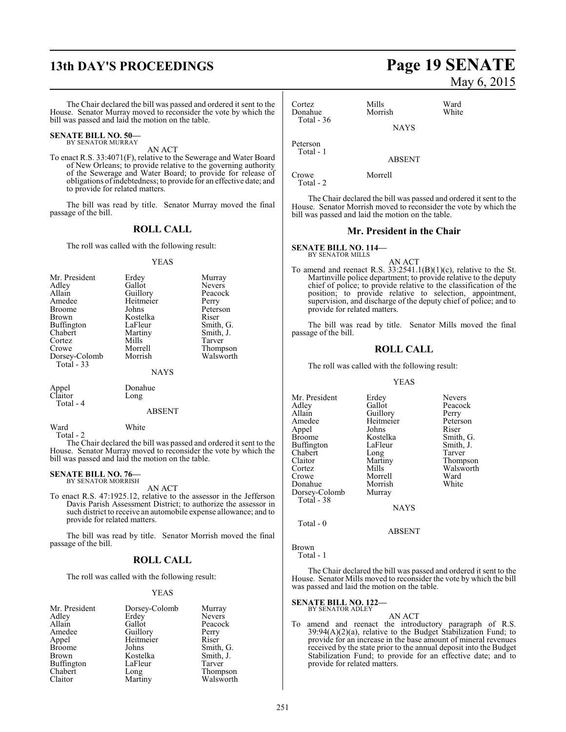## **13th DAY'S PROCEEDINGS Page 19 SENATE**

The Chair declared the bill was passed and ordered it sent to the House. Senator Murray moved to reconsider the vote by which the bill was passed and laid the motion on the table.

#### **SENATE BILL NO. 50—** BY SENATOR MURRAY

AN ACT

To enact R.S. 33:4071(F), relative to the Sewerage and Water Board of New Orleans; to provide relative to the governing authority of the Sewerage and Water Board; to provide for release of obligations ofindebtedness; to provide for an effective date; and to provide for related matters.

The bill was read by title. Senator Murray moved the final passage of the bill.

#### **ROLL CALL**

The roll was called with the following result:

#### YEAS

| Mr. President     | Erdey     | Murray        |
|-------------------|-----------|---------------|
| Adley             | Gallot    | <b>Nevers</b> |
| Allain            | Guillory  | Peacock       |
| Amedee            | Heitmeier | Perry         |
| <b>Broome</b>     | Johns     | Peterson      |
| <b>Brown</b>      | Kostelka  | Riser         |
| <b>Buffington</b> | LaFleur   | Smith, G.     |
| Chabert           | Martiny   | Smith, J.     |
| Cortez            | Mills     | Tarver        |
| Crowe             | Morrell   | Thompson      |
| Dorsey-Colomb     | Morrish   | Walsworth     |
| Total - 33        |           |               |
|                   | NAYS      |               |

Total - 4

Appel Donahue<br>Claitor Long Long

#### ABSENT

Ward White Total - 2

The Chair declared the bill was passed and ordered it sent to the House. Senator Murray moved to reconsider the vote by which the bill was passed and laid the motion on the table.

#### **SENATE BILL NO. 76—** BY SENATOR MORRISH

AN ACT

To enact R.S. 47:1925.12, relative to the assessor in the Jefferson Davis Parish Assessment District; to authorize the assessor in such district to receive an automobile expense allowance; and to provide for related matters.

The bill was read by title. Senator Morrish moved the final passage of the bill.

#### **ROLL CALL**

The roll was called with the following result:

#### YEAS

| Mr. President     | Dorsey-Colomb | Murray        |
|-------------------|---------------|---------------|
| Adley             | Erdey         | <b>Nevers</b> |
| Allain            | Gallot        | Peacock       |
| Amedee            | Guillory      | Perry         |
| Appel             | Heitmeier     | Riser         |
| <b>Broome</b>     | Johns         | Smith, G.     |
| Brown             | Kostelka      | Smith, J.     |
| <b>Buffington</b> | LaFleur       | Tarver        |
| Chabert           | Long          | Thompson      |
| Claitor           | Martiny       | Walsworth     |

# May 6, 2015

| Cortez<br>Donahue     | Mills<br>Morrish | Ward<br>White |
|-----------------------|------------------|---------------|
| Total $-36$           | <b>NAYS</b>      |               |
| Peterson<br>Total - 1 |                  |               |
|                       | <b>ABSENT</b>    |               |

Crowe Morrell

Total - 2

The Chair declared the bill was passed and ordered it sent to the House. Senator Morrish moved to reconsider the vote by which the bill was passed and laid the motion on the table.

#### **Mr. President in the Chair**

**SENATE BILL NO. 114—** BY SENATOR MILLS

AN ACT

To amend and reenact R.S.  $33:2541.1(B)(1)(c)$ , relative to the St. Martinville police department; to provide relative to the deputy chief of police; to provide relative to the classification of the position; to provide relative to selection, appointment, supervision, and discharge of the deputy chief of police; and to provide for related matters.

The bill was read by title. Senator Mills moved the final passage of the bill.

#### **ROLL CALL**

The roll was called with the following result:

#### YEAS

Mr. President Erdey Nevers<br>Adley Gallot Peacoc Adley Gallot Peacock<br>Allain Guillory Perry Allain Guillory Perry<br>
Amedee Heitmeier Peterson Amedee Heitmeier Peters<br>Appel Johns Riser Appel Johns<br>Broome Kostelka Kostelka Smith, G.<br>LaFleur Smith, J. Buffington LaFleur Smith,<br>
Chabert Long Tarver Chabert Long<br>Claitor Martiny Claitor Martiny Thompson Cortez Mills Walsworth<br>Crowe Morrell Ward Morrell Ward<br>
Morrish White Donahue Morrish<br>Dorsey-Colomb Murray Dorsey-Colomb Total - 38

**NAYS** 

ABSENT

Total - 0

Brown

Total - 1

The Chair declared the bill was passed and ordered it sent to the House. Senator Mills moved to reconsider the vote by which the bill was passed and laid the motion on the table.

#### **SENATE BILL NO. 122—** BY SENATOR ADLEY

- AN ACT
- To amend and reenact the introductory paragraph of R.S.  $39:94(A)(2)(a)$ , relative to the Budget Stabilization Fund; to provide for an increase in the base amount of mineral revenues received by the state prior to the annual deposit into the Budget Stabilization Fund; to provide for an effective date; and to provide for related matters.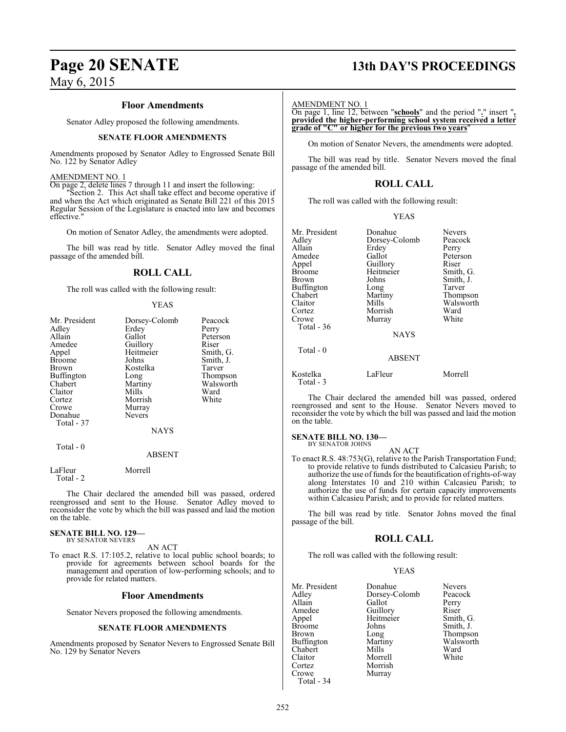#### **Floor Amendments**

Senator Adley proposed the following amendments.

#### **SENATE FLOOR AMENDMENTS**

Amendments proposed by Senator Adley to Engrossed Senate Bill No. 122 by Senator Adley

#### AMENDMENT NO. 1

On page 2, delete lines 7 through 11 and insert the following:

"Section 2. This Act shall take effect and become operative if and when the Act which originated as Senate Bill 221 of this 2015 Regular Session of the Legislature is enacted into law and becomes effective."

On motion of Senator Adley, the amendments were adopted.

The bill was read by title. Senator Adley moved the final passage of the amended bill.

### **ROLL CALL**

The roll was called with the following result:

#### YEAS

| Mr. President<br>Adley<br>Allain<br>Amedee<br>Appel<br>Broome<br>Brown<br>Buffington<br>Chabert<br>Claitor<br>Cortez | Dorsey-Colomb<br>Erdey<br>Gallot<br>Guillory<br>Heitmeier<br>Johns<br>Kostelka<br>Long<br>Martiny<br>Mills<br>Morrish | Peacock<br>Perry<br>Peterson<br>Riser<br>Smith, G.<br>Smith, J.<br>Tarver<br>Thompson<br>Walsworth<br>Ward<br>White |
|----------------------------------------------------------------------------------------------------------------------|-----------------------------------------------------------------------------------------------------------------------|---------------------------------------------------------------------------------------------------------------------|
| Crowe                                                                                                                | Murray                                                                                                                |                                                                                                                     |
| Donahue                                                                                                              | <b>Nevers</b>                                                                                                         |                                                                                                                     |
| Total - 37                                                                                                           | <b>NAYS</b>                                                                                                           |                                                                                                                     |
| Total - 0                                                                                                            | <b>ABSENT</b>                                                                                                         |                                                                                                                     |

LaFleur Morrell Total - 2

The Chair declared the amended bill was passed, ordered reengrossed and sent to the House. Senator Adley moved to reconsider the vote by which the bill was passed and laid the motion on the table.

#### **SENATE BILL NO. 129—** BY SENATOR NEVERS

AN ACT

To enact R.S. 17:105.2, relative to local public school boards; to provide for agreements between school boards for the management and operation of low-performing schools; and to provide for related matters.

#### **Floor Amendments**

Senator Nevers proposed the following amendments.

#### **SENATE FLOOR AMENDMENTS**

Amendments proposed by Senator Nevers to Engrossed Senate Bill No. 129 by Senator Nevers

## **Page 20 SENATE 13th DAY'S PROCEEDINGS**

#### AMENDMENT NO. 1

On page 1, line 12, between "**schools**" and the period "**.**" insert "**, provided the higher-performing school system received a letter grade of "C" or higher for the previous two years**"

On motion of Senator Nevers, the amendments were adopted.

The bill was read by title. Senator Nevers moved the final passage of the amended bill.

## **ROLL CALL**

The roll was called with the following result:

#### YEAS

| Mr. President<br>Adley<br>Allain<br>Amedee<br>Appel<br><b>Broome</b><br>Brown<br>Buffington<br>Chabert<br>Claitor<br>Cortez<br>Crowe<br>Total - 36 | Donahue<br>Dorsey-Colomb<br>Erdey<br>Gallot<br>Guillory<br>Heitmeier<br>Johns<br>Long<br>Martiny<br>Mills<br>Morrish<br>Murray<br><b>NAYS</b> | <b>Nevers</b><br>Peacock<br>Perry<br>Peterson<br>Riser<br>Smith, G.<br>Smith, J.<br>Tarver<br>Thompson<br>Walsworth<br>Ward<br>White |
|----------------------------------------------------------------------------------------------------------------------------------------------------|-----------------------------------------------------------------------------------------------------------------------------------------------|--------------------------------------------------------------------------------------------------------------------------------------|
| Total - 0                                                                                                                                          | <b>ABSENT</b>                                                                                                                                 |                                                                                                                                      |
| Kostelka<br>Total - 3                                                                                                                              | LaFleur                                                                                                                                       | Morrell                                                                                                                              |

The Chair declared the amended bill was passed, ordered reengrossed and sent to the House. Senator Nevers moved to reconsider the vote by which the bill was passed and laid the motion on the table.

#### **SENATE BILL NO. 130—**

BY SENATOR JOHNS

AN ACT To enact R.S. 48:753(G), relative to the Parish Transportation Fund; to provide relative to funds distributed to Calcasieu Parish; to authorize the use of funds for the beautification of rights-of-way along Interstates 10 and 210 within Calcasieu Parish; to authorize the use of funds for certain capacity improvements within Calcasieu Parish; and to provide for related matters.

The bill was read by title. Senator Johns moved the final passage of the bill.

### **ROLL CALL**

The roll was called with the following result:

#### YEAS

| Mr. President | Donahue       | <b>Nevers</b> |
|---------------|---------------|---------------|
| Adley         | Dorsey-Colomb | Peacock       |
| Allain        | Gallot        | Perry         |
| Amedee        | Guillory      | Riser         |
| Appel         | Heitmeier     | Smith, G.     |
| Broome        | Johns         | Smith, J.     |
| Brown         | Long          | Thompson      |
| Buffington    | Martiny       | Walsworth     |
| Chabert       | Mills         | Ward          |
| Claitor       | Morrell       | White         |
| Cortez        | Morrish       |               |
| Crowe         | Murray        |               |
| Total - 34    |               |               |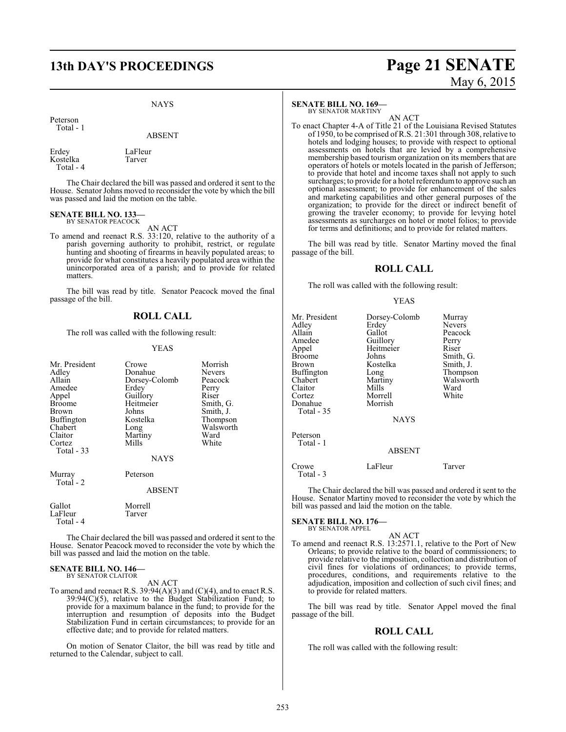## **13th DAY'S PROCEEDINGS Page 21 SENATE**

#### NAYS

Peterson Total - 1

ABSENT

Erdey LaFleur<br>Kostelka Tarver Kostelka Total - 4

The Chair declared the bill was passed and ordered it sent to the House. Senator Johns moved to reconsider the vote by which the bill was passed and laid the motion on the table.

#### **SENATE BILL NO. 133** BY SENATOR PEACOCK

AN ACT

To amend and reenact R.S. 33:120, relative to the authority of a parish governing authority to prohibit, restrict, or regulate hunting and shooting of firearms in heavily populated areas; to provide for what constitutes a heavily populated area within the unincorporated area of a parish; and to provide for related matters.

The bill was read by title. Senator Peacock moved the final passage of the bill.

#### **ROLL CALL**

The roll was called with the following result:

#### YEAS

| Mr. President<br>Adley<br>Allain<br>Amedee<br>Appel<br><b>Broome</b><br>Brown<br><b>Buffington</b><br>Chabert<br>Claitor<br>Cortez<br><b>Total - 33</b> | Crowe<br>Donahue<br>Dorsey-Colomb<br>Erdey<br>Guillory<br>Heitmeier<br>Johns<br>Kostelka<br>Long<br>Martiny<br>Mills<br><b>NAYS</b> | Morrish<br>Nevers<br>Peacock<br>Perry<br>Riser<br>Smith, G.<br>Smith, J.<br>Thompson<br>Walsworth<br>Ward<br>White |
|---------------------------------------------------------------------------------------------------------------------------------------------------------|-------------------------------------------------------------------------------------------------------------------------------------|--------------------------------------------------------------------------------------------------------------------|
| Murray<br>Total - 2                                                                                                                                     | Peterson<br>ABSENT                                                                                                                  |                                                                                                                    |
| Gallot<br>LaFleur<br>Total - 4                                                                                                                          | Morrell<br>Tarver                                                                                                                   |                                                                                                                    |

The Chair declared the bill was passed and ordered it sent to the House. Senator Peacock moved to reconsider the vote by which the bill was passed and laid the motion on the table.

## **SENATE BILL NO. 146—** BY SENATOR CLAITOR

AN ACT

To amend and reenact R.S. 39:94(A)(3) and (C)(4), and to enact R.S. 39:94(C)(5), relative to the Budget Stabilization Fund; to provide for a maximum balance in the fund; to provide for the interruption and resumption of deposits into the Budget Stabilization Fund in certain circumstances; to provide for an effective date; and to provide for related matters.

On motion of Senator Claitor, the bill was read by title and returned to the Calendar, subject to call.

#### **SENATE BILL NO. 169—**

BY SENATOR MARTINY

AN ACT To enact Chapter 4-A of Title 21 of the Louisiana Revised Statutes of 1950, to be comprised of R.S. 21:301 through 308, relative to hotels and lodging houses; to provide with respect to optional assessments on hotels that are levied by a comprehensive membership based tourism organization on its members that are operators of hotels or motels located in the parish of Jefferson; to provide that hotel and income taxes shall not apply to such surcharges; to provide for a hotel referendum to approve such an optional assessment; to provide for enhancement of the sales and marketing capabilities and other general purposes of the organization; to provide for the direct or indirect benefit of growing the traveler economy; to provide for levying hotel assessments as surcharges on hotel or motel folios; to provide for terms and definitions; and to provide for related matters.

The bill was read by title. Senator Martiny moved the final passage of the bill.

#### **ROLL CALL**

The roll was called with the following result:

#### YEAS

| Mr. President<br>Adley | Dorsey-Colomb<br>Erdey | Murray<br><b>Nevers</b> |
|------------------------|------------------------|-------------------------|
| Allain                 | Gallot                 | Peacock                 |
| Amedee                 | Guillory               | Perry                   |
| Appel                  | Heitmeier              | Riser                   |
| <b>Broome</b>          | Johns                  | Smith, G.               |
| Brown                  | Kostelka               | Smith, J.               |
| Buffington             | Long                   | Thompson                |
| Chabert                | Martiny                | Walsworth               |
| Claitor                | Mills                  | Ward                    |
| Cortez                 | Morrell                | White                   |
| Donahue                | Morrish                |                         |
| Total - 35             |                        |                         |
|                        | <b>NAYS</b>            |                         |
| Peterson               |                        |                         |
| Total - 1              |                        |                         |
|                        | <b>ABSENT</b>          |                         |
| Crowe                  | LaFleur                | Tarver                  |
| Total - 3              |                        |                         |

The Chair declared the bill was passed and ordered it sent to the House. Senator Martiny moved to reconsider the vote by which the bill was passed and laid the motion on the table.

**SENATE BILL NO. 176—** BY SENATOR APPEL

AN ACT To amend and reenact R.S. 13:2571.1, relative to the Port of New Orleans; to provide relative to the board of commissioners; to provide relative to the imposition, collection and distribution of civil fines for violations of ordinances; to provide terms, procedures, conditions, and requirements relative to the adjudication, imposition and collection of such civil fines; and to provide for related matters.

The bill was read by title. Senator Appel moved the final passage of the bill.

### **ROLL CALL**

The roll was called with the following result:

# May 6, 2015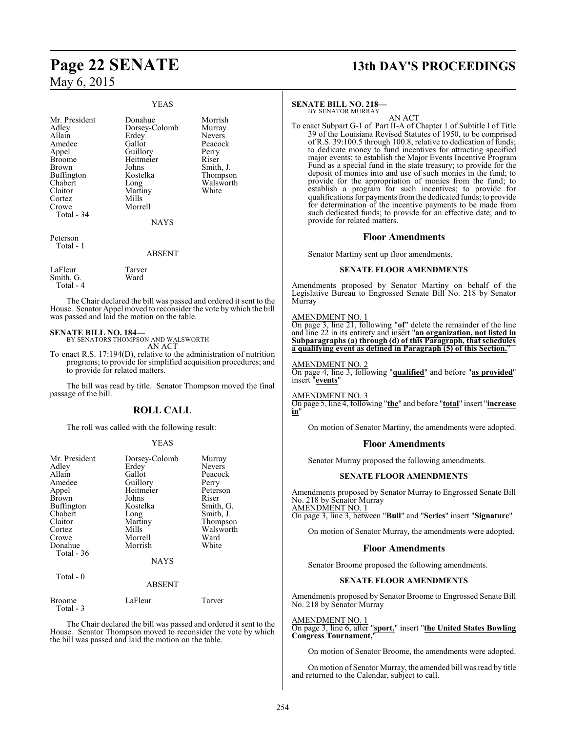#### YEAS Mr. President Donahue Morrish<br>Adley Dorsey-Colomb Murray Adley Dorsey-Colomb Murray<br>Allain Erdey Nevers Allain Erdey<br>Amedee Gallot Amedee Gallot Peacock<br>Appel Guillory Perry Appel Guillory<br>Broome Heitmei Broome Heitmeier Riser<br>Brown Johns Smith Johns Smith, J.<br>Kostelka Thompson Buffington<br>Chabert Chabert Long Walsworth Long<br>Martiny<br>Mills Cortez<br>Crowe Morrell Total - 34 **NAYS** Peterson Total - 1 ABSENT LaFleur Tarver<br>
Smith G Ward

Smith, G. Total - 4

The Chair declared the bill was passed and ordered it sent to the House. Senator Appel moved to reconsider the vote by which the bill was passed and laid the motion on the table.

## **SENATE BILL NO. 184—** BY SENATORS THOMPSON AND WALSWORTH

AN ACT

To enact R.S. 17:194(D), relative to the administration of nutrition programs; to provide for simplified acquisition procedures; and to provide for related matters.

The bill was read by title. Senator Thompson moved the final passage of the bill.

## **ROLL CALL**

The roll was called with the following result:

#### YEAS

| Mr. President<br>Adley<br>Allain<br>Amedee<br>Appel<br><b>Brown</b><br>Buffington<br>Chabert<br>Claitor<br>Cortez<br>Crowe<br>Donahue<br>Total $-36$ | Dorsey-Colomb<br>Erdey<br>Gallot<br>Guillory<br>Heitmeier<br>Johns<br>Kostelka<br>Long<br>Martiny<br>Mills<br>Morrell<br>Morrish<br><b>NAYS</b> | Murray<br><b>Nevers</b><br>Peacock<br>Perry<br>Peterson<br>Riser<br>Smith, G.<br>Smith, J.<br>Thompson<br>Walsworth<br>Ward<br>White |
|------------------------------------------------------------------------------------------------------------------------------------------------------|-------------------------------------------------------------------------------------------------------------------------------------------------|--------------------------------------------------------------------------------------------------------------------------------------|
| Total - 0                                                                                                                                            | <b>ABSENT</b>                                                                                                                                   |                                                                                                                                      |

| Broome    | LaFleur | Tarver |
|-----------|---------|--------|
| Total - 3 |         |        |

The Chair declared the bill was passed and ordered it sent to the House. Senator Thompson moved to reconsider the vote by which the bill was passed and laid the motion on the table.

# **Page 22 SENATE 13th DAY'S PROCEEDINGS**

#### **SENATE BILL NO. 218—**

BY SENATOR MURRAY

AN ACT To enact Subpart G-1 of Part II-A of Chapter 1 of Subtitle I of Title 39 of the Louisiana Revised Statutes of 1950, to be comprised of R.S. 39:100.5 through 100.8, relative to dedication of funds; to dedicate money to fund incentives for attracting specified major events; to establish the Major Events Incentive Program Fund as a special fund in the state treasury; to provide for the deposit of monies into and use of such monies in the fund; to provide for the appropriation of monies from the fund; to establish a program for such incentives; to provide for qualifications for payments fromthe dedicated funds; to provide for determination of the incentive payments to be made from such dedicated funds; to provide for an effective date; and to provide for related matters.

#### **Floor Amendments**

Senator Martiny sent up floor amendments.

#### **SENATE FLOOR AMENDMENTS**

Amendments proposed by Senator Martiny on behalf of the Legislative Bureau to Engrossed Senate Bill No. 218 by Senator Murray

#### AMENDMENT NO. 1

On page 3, line 21, following "**of**" delete the remainder of the line and line 22 in its entirety and insert "**an organization, not listed in Subparagraphs (a) through (d) of this Paragraph, that schedules a qualifying event as defined in Paragraph (5) of this Section.**"

#### AMENDMENT NO. 2

On page 4, line 3, following "**qualified**" and before "**as provided**" insert "**events**"

AMENDMENT NO. 3

On page 5, line 4, following "**the**" and before "**total**" insert "**increase in**"

On motion of Senator Martiny, the amendments were adopted.

#### **Floor Amendments**

Senator Murray proposed the following amendments.

#### **SENATE FLOOR AMENDMENTS**

Amendments proposed by Senator Murray to Engrossed Senate Bill No. 218 by Senator Murray AMENDMENT NO. 1

On page 3, line 3, between "**Bull**" and "**Series**" insert "**Signature**"

On motion of Senator Murray, the amendments were adopted.

#### **Floor Amendments**

Senator Broome proposed the following amendments.

#### **SENATE FLOOR AMENDMENTS**

Amendments proposed by Senator Broome to Engrossed Senate Bill No. 218 by Senator Murray

#### AMENDMENT NO. 1

On page 3, line 6, after "**sport,**" insert "**the United States Bowling Congress Tournament,**"

On motion of Senator Broome, the amendments were adopted.

On motion of Senator Murray, the amended bill was read by title and returned to the Calendar, subject to call.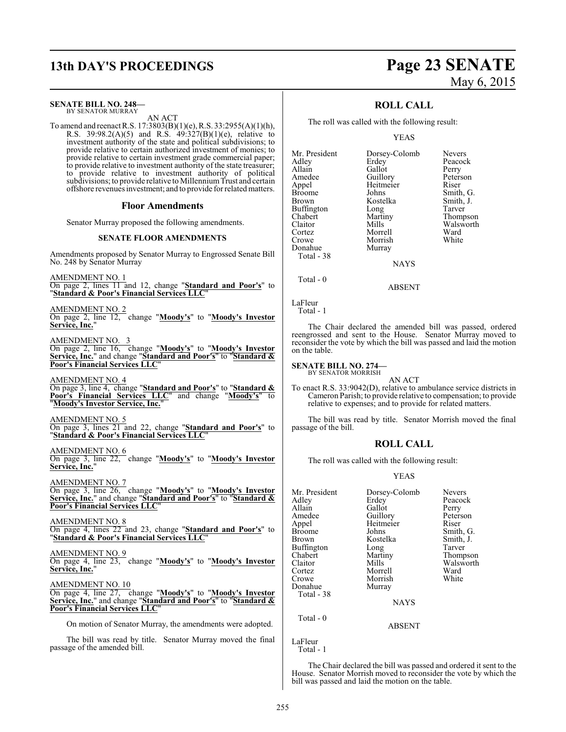## **13th DAY'S PROCEEDINGS Page 23 SENATE**

#### **SENATE BILL NO. 248—**

BY SENATOR MURRAY AN ACT

To amend and reenact R.S. 17:3803(B)(1)(e), R.S. 33:2955(A)(1)(h), R.S. 39:98.2(A)(5) and R.S.  $49:327(B)(1)(e)$ , relative to investment authority of the state and political subdivisions; to provide relative to certain authorized investment of monies; to provide relative to certain investment grade commercial paper; to provide relative to investment authority of the state treasurer; to provide relative to investment authority of political subdivisions; to provide relative to MillenniumTrust and certain offshore revenues investment; and to provide for related matters.

#### **Floor Amendments**

Senator Murray proposed the following amendments.

#### **SENATE FLOOR AMENDMENTS**

Amendments proposed by Senator Murray to Engrossed Senate Bill No. 248 by Senator Murray

AMENDMENT NO. 1 On page 2, lines 11 and 12, change "**Standard and Poor's**" to "**Standard & Poor's Financial Services LLC**"

AMENDMENT NO. 2 On page 2, line 12, change "**Moody's**" to "**Moody's Investor Service, Inc.**"

AMENDMENT NO. 3

On page 2, line 16, change "**Moody's**" to "**Moody's Investor Service, Inc.**" and change "**Standard and Poor's**" to "**Standard & Poor's Financial Services LLC**"

AMENDMENT NO. 4 On page 3, line 4, change "**Standard and Poor's**" to "**Standard & Poor's Financial Services LLC**" and change "**Moody's**" to "**Moody's Investor Service, Inc.**"

AMENDMENT NO. 5 On page 3, lines 21 and 22, change "**Standard and Poor's**" to "**Standard & Poor's Financial Services LLC**"

AMENDMENT NO. 6 On page 3, line 22, change "**Moody's**" to "**Moody's Investor Service, Inc.**"

AMENDMENT NO. 7 On page 3, line 26, change "**Moody's**" to "**Moody's Investor Service, Inc.**" and change "**Standard and Poor's**" to "**Standard & Poor's Financial Services LLC**"

AMENDMENT NO. 8 On page 4, lines 22 and 23, change "**Standard and Poor's**" to "**Standard & Poor's Financial Services LLC**"

AMENDMENT NO. 9 On page 4, line 23, change "**Moody's**" to "**Moody's Investor Service, Inc.**"

AMENDMENT NO. 10

On page 4, line 27, change "**Moody's**" to "**Moody's Investor Service, Inc.**" and change "**Standard and Poor's**" to "**Standard & Poor's Financial Services LLC**"

On motion of Senator Murray, the amendments were adopted.

The bill was read by title. Senator Murray moved the final passage of the amended bill.

# May 6, 2015

### **ROLL CALL**

The roll was called with the following result:

#### YEAS

Mr. President Dorsey-Colomb Nevers<br>Adley Erdey Peacock Adley Erdey Peacock Allain Gallot Perry Amedee Guillory Peterson<br>
Appel Heitmeier Riser Appel Heitmeier<br>Broome Johns Broome Johns Smith, G.<br>Brown Kostelka Smith, J. Buffington Long<br>Chabert Martiny Chabert Martiny Thompson<br>Claitor Mills Walsworth Claitor Mills Walsworth<br>
Cortez Morrell Ward Cortez Morrell Ward Donahue Total - 38

Morrish<br>Murray

Kostelka Smith, J.<br>Long Tarver

**NAYS** 

ABSENT

LaFleur

Total - 1

Total - 0

The Chair declared the amended bill was passed, ordered reengrossed and sent to the House. Senator Murray moved to reconsider the vote by which the bill was passed and laid the motion on the table.

#### **SENATE BILL NO. 274—**

BY SENATOR MORRISH AN ACT

To enact R.S. 33:9042(D), relative to ambulance service districts in Cameron Parish; to provide relative to compensation; to provide relative to expenses; and to provide for related matters.

The bill was read by title. Senator Morrish moved the final passage of the bill.

#### **ROLL CALL**

The roll was called with the following result:

#### YEAS

| Mr. President<br>Adley | Dorsey-Colomb<br>Erdey | <b>Nevers</b><br>Peacock |
|------------------------|------------------------|--------------------------|
| Allain                 | Gallot                 | Perry                    |
| Amedee                 | Guillory               | Peterson                 |
| Appel                  | Heitmeier              | Riser                    |
| Broome                 | Johns                  | Smith, G.                |
| Brown                  | Kostelka               | Smith, J.                |
| Buffington             | Long                   | Tarver                   |
| Chabert                | Martiny                | Thompson                 |
| Claitor                | Mills                  | Walsworth                |
| Cortez                 | Morrell                | Ward                     |
| Crowe                  | Morrish                | White                    |
| Donahue                | Murray                 |                          |
| Total - 38             |                        |                          |
|                        | <b>NAYS</b>            |                          |
| Total - 0              | <b>ABSENT</b>          |                          |
|                        |                        |                          |

LaFleur Total - 1

The Chair declared the bill was passed and ordered it sent to the House. Senator Morrish moved to reconsider the vote by which the bill was passed and laid the motion on the table.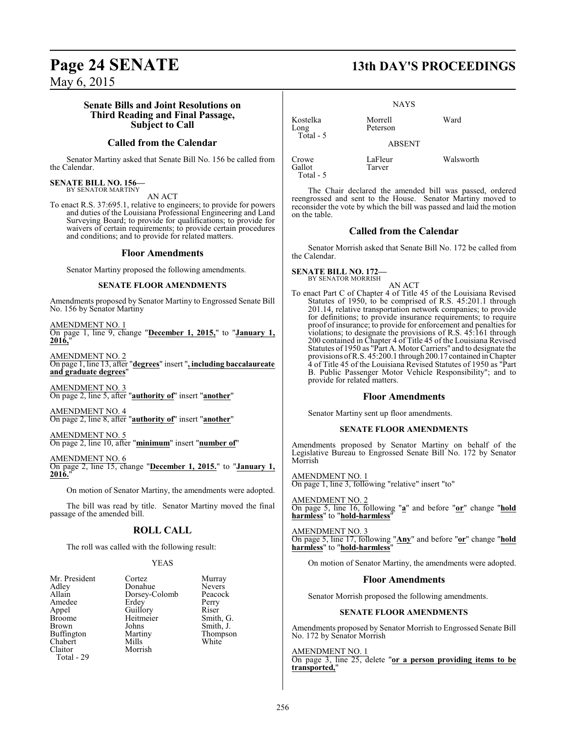#### **Senate Bills and Joint Resolutions on Third Reading and Final Passage, Subject to Call**

### **Called from the Calendar**

Senator Martiny asked that Senate Bill No. 156 be called from the Calendar.

#### **SENATE BILL NO. 156—** BY SENATOR MARTINY

AN ACT

To enact R.S. 37:695.1, relative to engineers; to provide for powers and duties of the Louisiana Professional Engineering and Land Surveying Board; to provide for qualifications; to provide for waivers of certain requirements; to provide certain procedures and conditions; and to provide for related matters.

#### **Floor Amendments**

Senator Martiny proposed the following amendments.

#### **SENATE FLOOR AMENDMENTS**

Amendments proposed by Senator Martiny to Engrossed Senate Bill No. 156 by Senator Martiny

AMENDMENT NO. 1 On page 1, line 9, change "**December 1, 2015,**" to "**January 1, 2016,**"

AMENDMENT NO. 2 On page 1, line 13, after "**degrees**" insert "**, including baccalaureate and graduate degrees**"

AMENDMENT NO. 3 On page 2, line 5, after "**authority of**" insert "**another**"

AMENDMENT NO. 4 On page 2, line 8, after "**authority of**" insert "**another**"

AMENDMENT NO. 5 On page 2, line 10, after "**minimum**" insert "**number of**"

AMENDMENT NO. 6 On page 2, line 15, change "**December 1, 2015.**" to "**January 1, 2016.**"

On motion of Senator Martiny, the amendments were adopted.

The bill was read by title. Senator Martiny moved the final passage of the amended bill.

## **ROLL CALL**

The roll was called with the following result:

#### YEAS

| Mr. President     | Cortez        | Murr  |
|-------------------|---------------|-------|
| Adley             | Donahue       | Neve  |
| Allain            | Dorsey-Colomb | Peaco |
| Amedee            | Erdey         | Perry |
| Appel             | Guillory      | Riser |
| <b>Broome</b>     | Heitmeier     | Smith |
| Brown             | Johns         | Smith |
| <b>Buffington</b> | Martiny       | Thon  |
| Chabert           | Mills         | White |
| Claitor           | Morrish       |       |
| Total - 29        |               |       |

ue Nevers<br>-Colomb Peacocl  $B$ rier Smith, G. White White

Murray

Peacock<br>Perry

Smith, J. Thompson Kostelka Morrell Ward Long Peterson Total - 5 Crowe LaFleur Walsworth<br>
Callot Tarver

Total - 5

ABSENT Tarver

NAYS

The Chair declared the amended bill was passed, ordered reengrossed and sent to the House. Senator Martiny moved to reconsider the vote by which the bill was passed and laid the motion on the table.

#### **Called from the Calendar**

Senator Morrish asked that Senate Bill No. 172 be called from the Calendar.

## **SENATE BILL NO. 172—** BY SENATOR MORRISH

AN ACT

To enact Part C of Chapter 4 of Title 45 of the Louisiana Revised Statutes of 1950, to be comprised of R.S. 45:201.1 through 201.14, relative transportation network companies; to provide for definitions; to provide insurance requirements; to require proof of insurance; to provide for enforcement and penalties for violations; to designate the provisions of R.S. 45:161 through 200 contained in Chapter 4 of Title 45 of the Louisiana Revised Statutes of 1950 as "Part A. Motor Carriers" and to designate the provisions ofR.S. 45:200.1 through 200.17 contained inChapter 4 of Title 45 of the Louisiana Revised Statutes of 1950 as "Part B. Public Passenger Motor Vehicle Responsibility"; and to provide for related matters.

#### **Floor Amendments**

Senator Martiny sent up floor amendments.

#### **SENATE FLOOR AMENDMENTS**

Amendments proposed by Senator Martiny on behalf of the Legislative Bureau to Engrossed Senate Bill No. 172 by Senator Morrish

AMENDMENT NO. 1 On page 1, line 3, following "relative" insert "to"

AMENDMENT NO. 2 On page 5, line 16, following "**a**" and before "**or**" change "**hold harmless**" to "**hold-harmless**"

AMENDMENT NO. 3 On page 5, line 17, following "**Any**" and before "**or**" change "**hold harmless**" to "**hold-harmless**"

On motion of Senator Martiny, the amendments were adopted.

#### **Floor Amendments**

Senator Morrish proposed the following amendments.

#### **SENATE FLOOR AMENDMENTS**

Amendments proposed by Senator Morrish to Engrossed Senate Bill No. 172 by Senator Morrish

#### AMENDMENT NO. 1

On page 3, line 25, delete "**or a person providing items to be transported,**"

# **Page 24 SENATE 13th DAY'S PROCEEDINGS**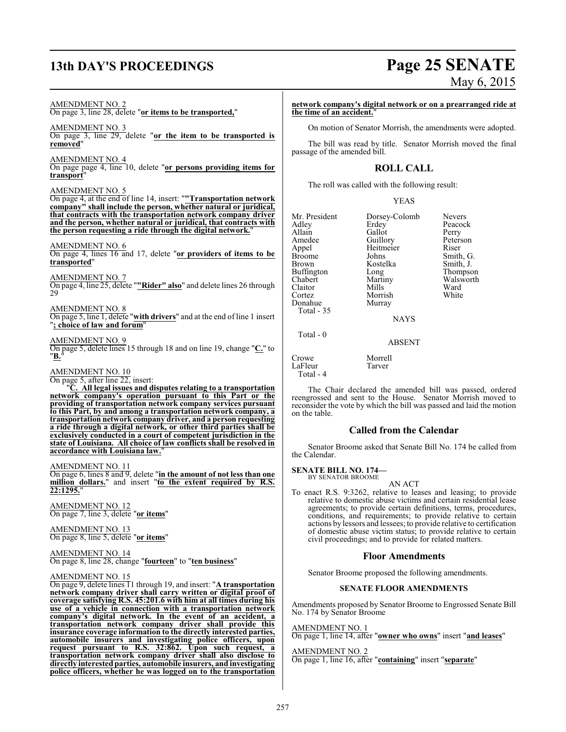# **13th DAY'S PROCEEDINGS Page 25 SENATE**

# May 6, 2015

AMENDMENT NO. 2 On page 3, line 28, delete "**or items to be transported,**" AMENDMENT NO. 3 On page 3, line 29, delete "**or the item to be transported is removed**" AMENDMENT NO. 4 On page page 4, line 10, delete "**or persons providing items for transport**" AMENDMENT NO. 5 On page 4, at the end of line 14, insert: "**"Transportation network company" shall include the person, whether natural or juridical, that contracts with the transportation network company driver and the person, whether natural or juridical, that contracts with the person requesting a ride through the digital network.**" AMENDMENT NO. 6 On page 4, lines 16 and 17, delete "**or providers of items to be transported**" AMENDMENT NO. 7 On page 4, line 25, delete "**"Rider" also**" and delete lines 26 through 29 AMENDMENT NO. 8 On page 5, line 1, delete "**with drivers**" and at the end of line 1 insert "**; choice of law and forum**" AMENDMENT NO. 9 On page 5, delete lines 15 through 18 and on line 19, change "**C.**" to "**B.**" AMENDMENT NO. 10 On page 5, after line 22, insert: "**C. All legal issues and disputes relating to a transportation network company's operation pursuant to this Part or the providing of transportation network company services pursuant to this Part, by and among a transportation network company, a transportation network company driver, and a person requesting a ride through a digital network, or other third parties shall be exclusively conducted in a court of competent jurisdiction in the state of Louisiana. All choice of law conflicts shall be resolved in accordance with Louisiana law.**" AMENDMENT NO. 11 On page 6, lines 8 and 9, delete "**in the amount of not less than one million dollars.**" and insert "**to the extent required by R.S. 22:1295.**" AMENDMENT NO. 12 On page 7, line 3, delete "**or items**" AMENDMENT NO. 13 On page 8, line 5, delete "**or items**" AMENDMENT NO. 14 On page 8, line 28, change "**fourteen**" to "**ten business**" AMENDMENT NO. 15 Donahue Total - 35 Total - 0 Crowe Morrell<br>LaFleur Tarver LaFleur Total - 4 on the table.

On page 9, delete lines 11 through 19, and insert: "**A transportation network company driver shall carry written or digital proof of coverage satisfying R.S. 45:201.6 with him at all times during his use of a vehicle in connection with a transportation network company's digital network. In the event of an accident, a transportation network company driver shall provide this insurance coverage information to the directly interested parties, automobile insurers and investigating police officers, upon request pursuant to R.S. 32:862. Upon such request, a transportation network company driver shall also disclose to directly interestedparties, automobile insurers, and investigating police officers, whether he was logged on to the transportation**

**network company's digital network or on a prearranged ride at the time of an accident.**"

On motion of Senator Morrish, the amendments were adopted.

The bill was read by title. Senator Morrish moved the final passage of the amended bill.

### **ROLL CALL**

The roll was called with the following result:

Mr. President Dorsey-Colomb Nevers<br>Adley Erdey Peacoc Adley Erdey Peacock<br>Allain Gallot Perry Allain Gallot<br>Amedee Guillory Amedee Guillory Peterson<br>Appel Heitmeier Riser Appel Heitmeier<br>Broome Johns Broome Johns Smith, G.<br>Brown Kostelka Smith, J. Brown Kostelka<br>Buffington Long Buffington Long Thompson<br>Chabert Martiny Walsworth Chabert Martiny Walsworth<br>Claitor Mills Ward Claitor Mills Ward Cortez Morrish White

NAYS

ABSENT

The Chair declared the amended bill was passed, ordered reengrossed and sent to the House. Senator Morrish moved to reconsider the vote by which the bill was passed and laid the motion

### **Called from the Calendar**

Senator Broome asked that Senate Bill No. 174 be called from the Calendar.

#### **SENATE BILL NO. 174—**

BY SENATOR BROOME

AN ACT To enact R.S. 9:3262, relative to leases and leasing; to provide relative to domestic abuse victims and certain residential lease agreements; to provide certain definitions, terms, procedures, conditions, and requirements; to provide relative to certain actions by lessors and lessees; to provide relative to certification of domestic abuse victim status; to provide relative to certain civil proceedings; and to provide for related matters.

#### **Floor Amendments**

Senator Broome proposed the following amendments.

#### **SENATE FLOOR AMENDMENTS**

Amendments proposed by Senator Broome to Engrossed Senate Bill No. 174 by Senator Broome

AMENDMENT NO. 1

On page 1, line 14, after "**owner who owns**" insert "**and leases**"

## AMENDMENT NO. 2

On page 1, line 16, after "**containing**" insert "**separate**"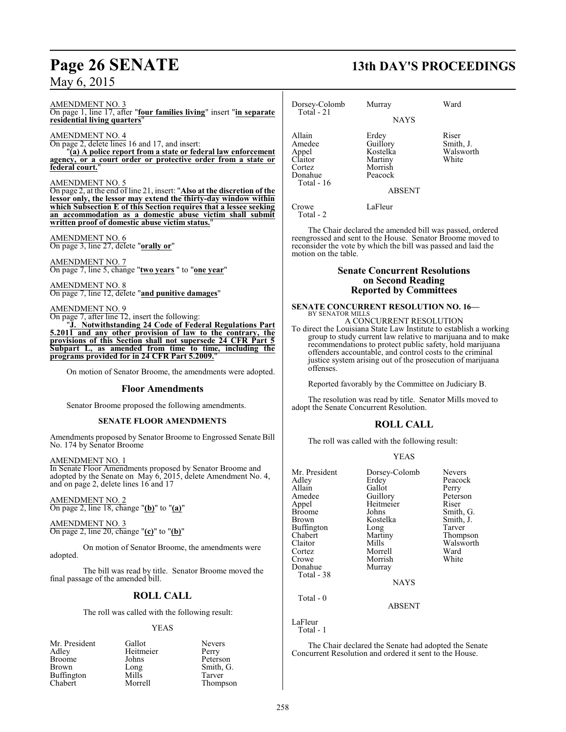#### AMENDMENT NO. 3

On page 1, line 17, after "**four families living**" insert "**in separate residential living quarters**"

#### AMENDMENT NO. 4

On page 2, delete lines 16 and 17, and insert:

"**(a) A police report from a state or federal law enforcement agency, or a court order or protective order from a state or federal court.**"

#### AMENDMENT NO. 5

On page 2, at the end of line 21, insert: "**Also at the discretion of the lessor only, the lessor may extend the thirty-day window within which Subsection E of this Section requires that a lessee seeking an accommodation as a domestic abuse victim shall submit written proof of domestic abuse victim status.**"

#### AMENDMENT NO. 6 On page 3, line 27, delete "**orally or**"

AMENDMENT NO. 7 On page 7, line 5, change "**two years** " to "**one year**"

AMENDMENT NO. 8 On page 7, line 12, delete "**and punitive damages**"

AMENDMENT NO. 9

On page 7, after line 12, insert the following: "**J. Notwithstanding 24 Code of Federal Regulations Part 5.2011 and any other provision of law to the contrary, the provisions of this Section shall not supersede 24 CFR Part 5 Subpart L, as amended from time to time, including the programs provided for in 24 CFR Part 5.2009.** 

On motion of Senator Broome, the amendments were adopted.

#### **Floor Amendments**

Senator Broome proposed the following amendments.

#### **SENATE FLOOR AMENDMENTS**

Amendments proposed by Senator Broome to Engrossed Senate Bill No. 174 by Senator Broome

#### AMENDMENT NO. 1

In Senate Floor Amendments proposed by Senator Broome and adopted by the Senate on May 6, 2015, delete Amendment No. 4, and on page 2, delete lines 16 and 17

AMENDMENT NO. 2 On page 2, line 18, change "**(b)**" to "**(a)**"

AMENDMENT NO. 3 On page 2, line 20, change "**(c)**" to "**(b)**"

On motion of Senator Broome, the amendments were adopted.

The bill was read by title. Senator Broome moved the final passage of the amended bill.

### **ROLL CALL**

The roll was called with the following result:

#### YEAS

| Mr. President     | Gallot    | <b>Nevers</b> |
|-------------------|-----------|---------------|
| Adley             | Heitmeier | Perry         |
| <b>Broome</b>     | Johns     | Peterson      |
| Brown             | Long      | Smith, G.     |
| <b>Buffington</b> | Mills     | Tarver        |
| Chabert           | Morrell   | Thompson      |

## **Page 26 SENATE 13th DAY'S PROCEEDINGS**

| Dorsey-Colomb<br>Total $-21$                                            | Murray                                                                          | Ward                                     |
|-------------------------------------------------------------------------|---------------------------------------------------------------------------------|------------------------------------------|
|                                                                         | <b>NAYS</b>                                                                     |                                          |
| Allain<br>Amedee<br>Appel<br>Claitor<br>Cortez<br>Donahue<br>Total - 16 | Erdey<br>Guillory<br>Kostelka<br>Martiny<br>Morrish<br>Peacock<br><b>ABSENT</b> | Riser<br>Smith, J.<br>Walsworth<br>White |
| Crowe<br>Total - 2                                                      | LaFleur                                                                         |                                          |

The Chair declared the amended bill was passed, ordered reengrossed and sent to the House. Senator Broome moved to reconsider the vote by which the bill was passed and laid the motion on the table.

#### **Senate Concurrent Resolutions on Second Reading Reported by Committees**

#### **SENATE CONCURRENT RESOLUTION NO. 16—** BY SENATOR MILLS

A CONCURRENT RESOLUTION To direct the Louisiana State Law Institute to establish a working group to study current law relative to marijuana and to make recommendations to protect public safety, hold marijuana offenders accountable, and control costs to the criminal justice system arising out of the prosecution of marijuana offenses.

Reported favorably by the Committee on Judiciary B.

The resolution was read by title. Senator Mills moved to adopt the Senate Concurrent Resolution.

### **ROLL CALL**

The roll was called with the following result:

#### YEAS

| Mr. President | Dorsey-Colomb | <b>Nevers</b> |
|---------------|---------------|---------------|
| Adley         | Erdey         | Peacock       |
| Allain        | Gallot        | Perry         |
| Amedee        | Guillory      | Peterson      |
| Appel         | Heitmeier     | Riser         |
| Broome        | Johns         | Smith, G.     |
| Brown         | Kostelka      | Smith, J.     |
| Buffington    | Long          | Tarver        |
| Chabert       | Martiny       | Thompson      |
| Claitor       | Mills         | Walsworth     |
| Cortez        | Morrell       | Ward          |
| Crowe         | Morrish       | White         |
| Donahue       | Murray        |               |
| Total - 38    |               |               |
|               | <b>NAYS</b>   |               |
| $Total - 0$   |               |               |

ABSENT

LaFleur

Total - 1

The Chair declared the Senate had adopted the Senate Concurrent Resolution and ordered it sent to the House.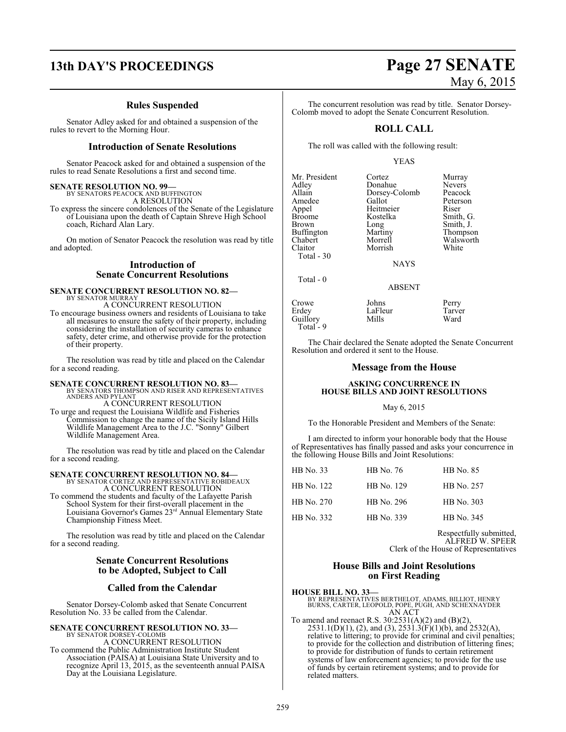## **13th DAY'S PROCEEDINGS Page 27 SENATE**

### **Rules Suspended**

Senator Adley asked for and obtained a suspension of the rules to revert to the Morning Hour.

#### **Introduction of Senate Resolutions**

Senator Peacock asked for and obtained a suspension of the rules to read Senate Resolutions a first and second time.

# **SENATE RESOLUTION NO. 99—** BY SENATORS PEACOCK AND BUFFINGTON

A RESOLUTION To express the sincere condolences of the Senate of the Legislature of Louisiana upon the death of Captain Shreve High School coach, Richard Alan Lary.

On motion of Senator Peacock the resolution was read by title and adopted.

#### **Introduction of Senate Concurrent Resolutions**

#### **SENATE CONCURRENT RESOLUTION NO. 82—** BY SENATOR MURRAY A CONCURRENT RESOLUTION

To encourage business owners and residents of Louisiana to take all measures to ensure the safety of their property, including considering the installation of security cameras to enhance safety, deter crime, and otherwise provide for the protection of their property.

The resolution was read by title and placed on the Calendar for a second reading.

**SENATE CONCURRENT RESOLUTION NO. 83—**<br>BY SENATORS THOMPSON AND RISER AND REPRESENTATIVES<br>ANDERS AND PYLANT A CONCURRENT RESOLUTION

To urge and request the Louisiana Wildlife and Fisheries Commission to change the name of the Sicily Island Hills Wildlife Management Area to the J.C. "Sonny" Gilbert Wildlife Management Area.

The resolution was read by title and placed on the Calendar for a second reading.

## **SENATE CONCURRENT RESOLUTION NO. 84—** BY SENATOR CORTEZ AND REPRESENTATIVE ROBIDEAUX

A CONCURRENT RESOLUTION To commend the students and faculty of the Lafayette Parish School System for their first-overall placement in the

Louisiana Governor's Games 23 rd Annual Elementary State Championship Fitness Meet.

The resolution was read by title and placed on the Calendar for a second reading.

### **Senate Concurrent Resolutions to be Adopted, Subject to Call**

### **Called from the Calendar**

Senator Dorsey-Colomb asked that Senate Concurrent Resolution No. 33 be called from the Calendar.

## **SENATE CONCURRENT RESOLUTION NO. 33—** BY SENATOR DORSEY-COLOMB

A CONCURRENT RESOLUTION To commend the Public Administration Institute Student Association (PAISA) at Louisiana State University and to recognize April 13, 2015, as the seventeenth annual PAISA Day at the Louisiana Legislature.

# May 6, 2015

The concurrent resolution was read by title. Senator Dorsey-Colomb moved to adopt the Senate Concurrent Resolution.

## **ROLL CALL**

The roll was called with the following result:

#### YEAS

| Mr. President     | Cortez        | Murray    |
|-------------------|---------------|-----------|
| Adley             | Donahue       | Nevers    |
| Allain            | Dorsey-Colomb | Peacock   |
| Amedee            | Gallot        | Peterson  |
| Appel             | Heitmeier     | Riser     |
| <b>Broome</b>     | Kostelka      | Smith, G. |
| <b>Brown</b>      | Long          | Smith, J. |
| <b>Buffington</b> | Martiny       | Thompson  |
| Chabert           | Morrell       | Walsworth |
| Claitor           | Morrish       | White     |
| Total - 30        |               |           |
|                   | NAYS          |           |

Total - 0

Guillory Total - 9

Crowe Johns Perry Erdey LaFleur Tarver

The Chair declared the Senate adopted the Senate Concurrent Resolution and ordered it sent to the House.

ABSENT

#### **Message from the House**

#### **ASKING CONCURRENCE IN HOUSE BILLS AND JOINT RESOLUTIONS**

#### May 6, 2015

To the Honorable President and Members of the Senate:

I am directed to inform your honorable body that the House of Representatives has finally passed and asks your concurrence in the following House Bills and Joint Resolutions:

| HB No. 33  | HB No. 76  | <b>HB</b> No. 85 |
|------------|------------|------------------|
| HB No. 122 | HB No. 129 | HB No. 257       |
| HB No. 270 | HB No. 296 | HB No. 303       |
| HB No. 332 | HB No. 339 | HB No. 345       |

Respectfully submitted, ALFRED W. SPEER Clerk of the House of Representatives

#### **House Bills and Joint Resolutions on First Reading**

**HOUSE BILL NO. 33—** BY REPRESENTATIVES BERTHELOT, ADAMS, BILLIOT, HENRY BURNS, CARTER, LEOPOLD, POPE, PUGH, AND SCHEXNAYDER AN ACT

To amend and reenact R.S. 30:2531(A)(2) and (B)(2),  $2531.1(D)(1)$ , (2), and (3),  $2531.3(F)(1)(b)$ , and  $2532(A)$ , relative to littering; to provide for criminal and civil penalties; to provide for the collection and distribution of littering fines; to provide for distribution of funds to certain retirement systems of law enforcement agencies; to provide for the use of funds by certain retirement systems; and to provide for related matters.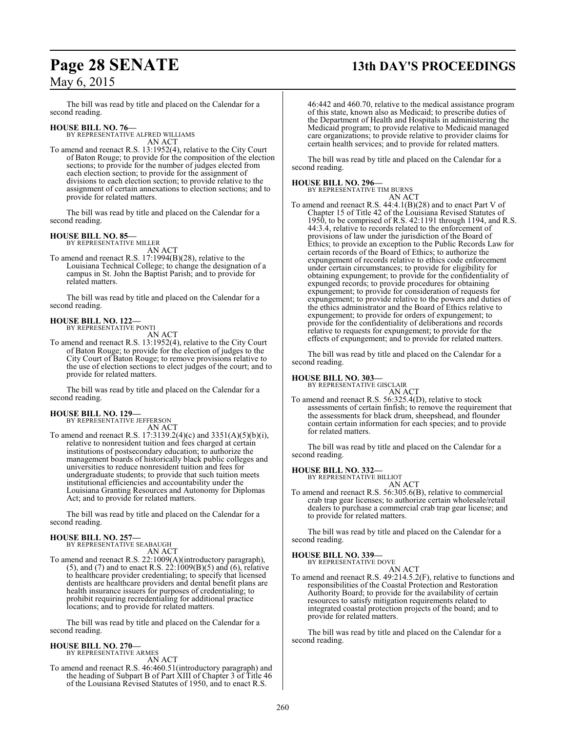## **Page 28 SENATE 13th DAY'S PROCEEDINGS**

## May 6, 2015

The bill was read by title and placed on the Calendar for a second reading.

#### **HOUSE BILL NO. 76—**

BY REPRESENTATIVE ALFRED WILLIAMS AN ACT

To amend and reenact R.S. 13:1952(4), relative to the City Court of Baton Rouge; to provide for the composition of the election sections; to provide for the number of judges elected from each election section; to provide for the assignment of divisions to each election section; to provide relative to the assignment of certain annexations to election sections; and to provide for related matters.

The bill was read by title and placed on the Calendar for a second reading.

#### **HOUSE BILL NO. 85—**

BY REPRESENTATIVE MILLER

AN ACT To amend and reenact R.S. 17:1994(B)(28), relative to the Louisiana Technical College; to change the designation of a campus in St. John the Baptist Parish; and to provide for related matters.

The bill was read by title and placed on the Calendar for a second reading.

## **HOUSE BILL NO. 122—** BY REPRESENTATIVE PONTI

AN ACT

To amend and reenact R.S. 13:1952(4), relative to the City Court of Baton Rouge; to provide for the election of judges to the City Court of Baton Rouge; to remove provisions relative to the use of election sections to elect judges of the court; and to provide for related matters.

The bill was read by title and placed on the Calendar for a second reading.

#### **HOUSE BILL NO. 129—**

BY REPRESENTATIVE JEFFERSON

AN ACT To amend and reenact R.S. 17:3139.2(4)(c) and 3351(A)(5)(b)(i), relative to nonresident tuition and fees charged at certain institutions of postsecondary education; to authorize the management boards of historically black public colleges and universities to reduce nonresident tuition and fees for undergraduate students; to provide that such tuition meets institutional efficiencies and accountability under the Louisiana Granting Resources and Autonomy for Diplomas Act; and to provide for related matters.

The bill was read by title and placed on the Calendar for a second reading.

## **HOUSE BILL NO. 257—** BY REPRESENTATIVE SEABAUGH

AN ACT

To amend and reenact R.S. 22:1009(A)(introductory paragraph), (5), and (7) and to enact R.S. 22:1009(B)(5) and (6), relative to healthcare provider credentialing; to specify that licensed dentists are healthcare providers and dental benefit plans are health insurance issuers for purposes of credentialing; to prohibit requiring recredentialing for additional practice locations; and to provide for related matters.

The bill was read by title and placed on the Calendar for a second reading.

### **HOUSE BILL NO. 270—**

BY REPRESENTATIVE ARMES AN ACT

To amend and reenact R.S. 46:460.51(introductory paragraph) and the heading of Subpart B of Part XIII of Chapter 3 of Title 46 of the Louisiana Revised Statutes of 1950, and to enact R.S.

46:442 and 460.70, relative to the medical assistance program of this state, known also as Medicaid; to prescribe duties of the Department of Health and Hospitals in administering the Medicaid program; to provide relative to Medicaid managed care organizations; to provide relative to provider claims for certain health services; and to provide for related matters.

The bill was read by title and placed on the Calendar for a second reading.

#### **HOUSE BILL NO. 296—**

BY REPRESENTATIVE TIM BURNS

AN ACT To amend and reenact R.S. 44:4.1(B)(28) and to enact Part V of Chapter 15 of Title 42 of the Louisiana Revised Statutes of 1950, to be comprised of R.S. 42:1191 through 1194, and R.S. 44:3.4, relative to records related to the enforcement of provisions of law under the jurisdiction of the Board of Ethics; to provide an exception to the Public Records Law for certain records of the Board of Ethics; to authorize the expungement of records relative to ethics code enforcement under certain circumstances; to provide for eligibility for obtaining expungement; to provide for the confidentiality of expunged records; to provide procedures for obtaining expungement; to provide for consideration of requests for expungement; to provide relative to the powers and duties of the ethics administrator and the Board of Ethics relative to expungement; to provide for orders of expungement; to provide for the confidentiality of deliberations and records relative to requests for expungement; to provide for the effects of expungement; and to provide for related matters.

The bill was read by title and placed on the Calendar for a second reading.

#### **HOUSE BILL NO. 303—**

BY REPRESENTATIVE GISCLAIR AN ACT

To amend and reenact R.S. 56:325.4(D), relative to stock assessments of certain finfish; to remove the requirement that the assessments for black drum, sheepshead, and flounder contain certain information for each species; and to provide for related matters.

The bill was read by title and placed on the Calendar for a second reading.

#### **HOUSE BILL NO. 332—**

BY REPRESENTATIVE BILLIOT AN ACT

To amend and reenact R.S. 56:305.6(B), relative to commercial crab trap gear licenses; to authorize certain wholesale/retail dealers to purchase a commercial crab trap gear license; and to provide for related matters.

The bill was read by title and placed on the Calendar for a second reading.

## **HOUSE BILL NO. 339—**

BY REPRESENTATIVE DOVE AN ACT

To amend and reenact R.S. 49:214.5.2(F), relative to functions and responsibilities of the Coastal Protection and Restoration Authority Board; to provide for the availability of certain resources to satisfy mitigation requirements related to integrated coastal protection projects of the board; and to provide for related matters.

The bill was read by title and placed on the Calendar for a second reading.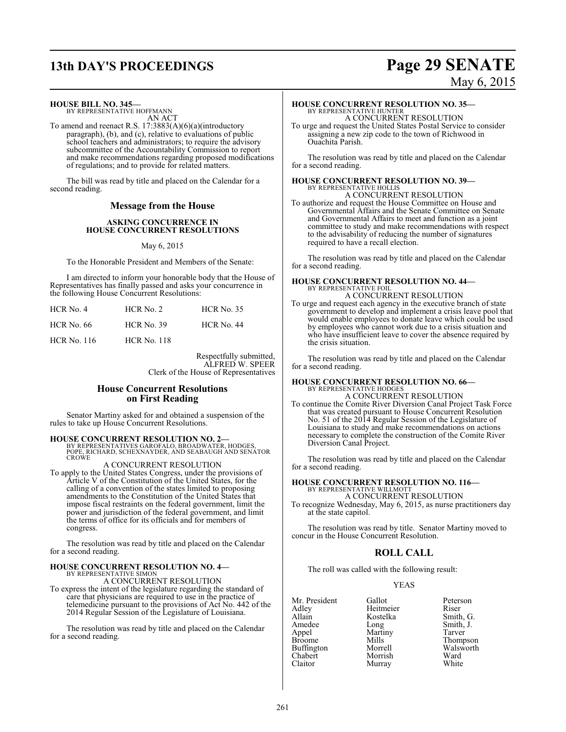## **13th DAY'S PROCEEDINGS Page 29 SENATE**

# May 6, 2015

**HOUSE BILL NO. 345—**

BY REPRESENTATIVE HOFFMANN AN ACT

To amend and reenact R.S. 17:3883(A)(6)(a)(introductory paragraph), (b), and (c), relative to evaluations of public school teachers and administrators; to require the advisory subcommittee of the Accountability Commission to report and make recommendations regarding proposed modifications of regulations; and to provide for related matters.

The bill was read by title and placed on the Calendar for a second reading.

#### **Message from the House**

#### **ASKING CONCURRENCE IN HOUSE CONCURRENT RESOLUTIONS**

May 6, 2015

To the Honorable President and Members of the Senate:

I am directed to inform your honorable body that the House of Representatives has finally passed and asks your concurrence in the following House Concurrent Resolutions:

| HCR No. 4          | $HCR$ No. 2        | <b>HCR</b> No. 35 |
|--------------------|--------------------|-------------------|
| <b>HCR No. 66</b>  | $HCR$ No. 39       | <b>HCR No. 44</b> |
| <b>HCR</b> No. 116 | <b>HCR No. 118</b> |                   |

Respectfully submitted, ALFRED W. SPEER Clerk of the House of Representatives

### **House Concurrent Resolutions on First Reading**

Senator Martiny asked for and obtained a suspension of the rules to take up House Concurrent Resolutions.

### **HOUSE CONCURRENT RESOLUTION NO. 2—** BY REPRESENTATIVES GAROFALO, BROADWATER, HODGES, POPE, RICHARD, SCHEXNAYDER, AND SEABAUGH AND SENATOR

**CROWE** 

#### A CONCURRENT RESOLUTION

To apply to the United States Congress, under the provisions of Article V of the Constitution of the United States, for the calling of a convention of the states limited to proposing amendments to the Constitution of the United States that impose fiscal restraints on the federal government, limit the power and jurisdiction of the federal government, and limit the terms of office for its officials and for members of congress.

The resolution was read by title and placed on the Calendar for a second reading.

## **HOUSE CONCURRENT RESOLUTION NO. 4—** BY REPRESENTATIVE SIMON

A CONCURRENT RESOLUTION

To express the intent of the legislature regarding the standard of care that physicians are required to use in the practice of telemedicine pursuant to the provisions of Act No. 442 of the 2014 Regular Session of the Legislature of Louisiana.

The resolution was read by title and placed on the Calendar for a second reading.

## **HOUSE CONCURRENT RESOLUTION NO. 35—** BY REPRESENTATIVE HUNTER A CONCURRENT RESOLUTION

To urge and request the United States Postal Service to consider assigning a new zip code to the town of Richwood in Ouachita Parish.

The resolution was read by title and placed on the Calendar for a second reading.

#### **HOUSE CONCURRENT RESOLUTION NO. 39—** BY REPRESENTATIVE HOLLIS

A CONCURRENT RESOLUTION To authorize and request the House Committee on House and Governmental Affairs and the Senate Committee on Senate and Governmental Affairs to meet and function as a joint committee to study and make recommendations with respect to the advisability of reducing the number of signatures required to have a recall election.

The resolution was read by title and placed on the Calendar for a second reading.

## **HOUSE CONCURRENT RESOLUTION NO. 44—** BY REPRESENTATIVE FOIL A CONCURRENT RESOLUTION

To urge and request each agency in the executive branch of state government to develop and implement a crisis leave pool that would enable employees to donate leave which could be used by employees who cannot work due to a crisis situation and who have insufficient leave to cover the absence required by the crisis situation.

The resolution was read by title and placed on the Calendar for a second reading.

# **HOUSE CONCURRENT RESOLUTION NO. 66—** BY REPRESENTATIVE HODGES

A CONCURRENT RESOLUTION

To continue the Comite River Diversion Canal Project Task Force that was created pursuant to House Concurrent Resolution No. 51 of the 2014 Regular Session of the Legislature of Louisiana to study and make recommendations on actions necessary to complete the construction of the Comite River Diversion Canal Project.

The resolution was read by title and placed on the Calendar for a second reading.

#### **HOUSE CONCURRENT RESOLUTION NO. 116—** BY REPRESENTATIVE WILLMOTT

A CONCURRENT RESOLUTION

To recognize Wednesday, May 6, 2015, as nurse practitioners day at the state capitol.

The resolution was read by title. Senator Martiny moved to concur in the House Concurrent Resolution.

### **ROLL CALL**

The roll was called with the following result:

Murray

#### YEAS

Mr. President Gallot Peterson<br>Adley Heitmeier Riser Adley Heitmeier<br>Allain Kostelka Allain Kostelka Smith, G.<br>Amedee Long Smith, J. Amedee Long Smith, J.<br>
Appel Martiny Tarver Appel Martiny<br>Broome Mills Broome Mills Thompson<br>Buffington Morrell Walsworth Buffington Morrell Walsworth<br>Chabert Morrish Ward Chabert Morrish Ward